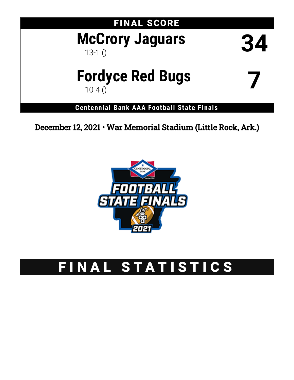## FINAL SCORE

# **McCrory Jaguars** 34

# **Fordyce Red Bugs** 7

**Centennial Bank AAA Football State Finals**

December 12, 2021 • War Memorial Stadium (Little Rock, Ark.)



## FINAL STATISTICS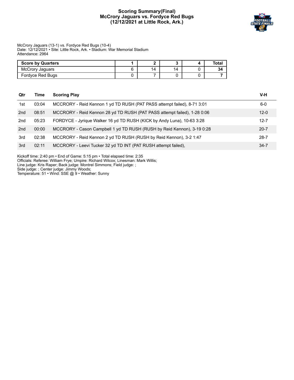#### **Scoring Summary(Final) McCrory Jaguars vs. Fordyce Red Bugs (12/12/2021 at Little Rock, Ark.)**



#### McCrory Jaguars (13-1) vs. Fordyce Red Bugs (10-4) Date: 12/12/2021 • Site: Little Rock, Ark. • Stadium: War Memorial Stadium Attendance: 2964

| <b>Score by Quarters</b> |    |    | Tota. |
|--------------------------|----|----|-------|
| McCrory Jaquars          | 14 | 14 |       |
| Fordyce Red Bugs         |    |    |       |

| Qtr | Time  | <b>Scoring Play</b>                                                      | V-H      |
|-----|-------|--------------------------------------------------------------------------|----------|
| 1st | 03:04 | MCCRORY - Reid Kennon 1 yd TD RUSH (PAT PASS attempt failed), 8-71 3:01  | $6-0$    |
| 2nd | 08:51 | MCCRORY - Reid Kennon 28 yd TD RUSH (PAT PASS attempt failed), 1-28 0:06 | $12 - 0$ |
| 2nd | 05:23 | FORDYCE - Jyrique Walker 16 yd TD RUSH (KICK by Andy Luna), 10-63 3:28   | $12 - 7$ |
| 2nd | 00:00 | MCCRORY - Cason Campbell 1 yd TD RUSH (RUSH by Reid Kennon), 3-19 0:28   | $20 - 7$ |
| 3rd | 02:38 | MCCRORY - Reid Kennon 2 yd TD RUSH (RUSH by Reid Kennon), 3-2 1:47       | $28 - 7$ |
| 3rd | 02:11 | MCCRORY - Leevi Tucker 32 yd TD INT (PAT RUSH attempt failed).           | $34 - 7$ |

Kickoff time: 2:40 pm • End of Game: 5:15 pm • Total elapsed time: 2:35

Officials: Referee: William Frye; Umpire: Richard Wilcox; Linesman: Mark Willis;

Line judge: Kris Raper; Back judge: Montrel Simmons; Field judge: ;

Side judge: ; Center judge: Jimmy Woods;

Temperature: 51 • Wind: SSE @ 9 • Weather: Sunny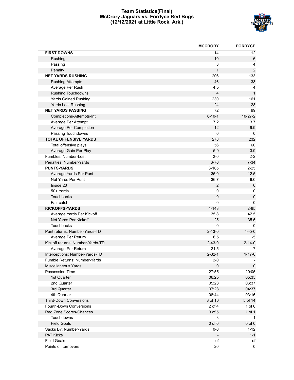#### **Team Statistics(Final) McCrory Jaguars vs. Fordyce Red Bugs (12/12/2021 at Little Rock, Ark.)**



|                                  | <b>MCCRORY</b> | <b>FORDYCE</b>   |
|----------------------------------|----------------|------------------|
| <b>FIRST DOWNS</b>               | 14             | 12               |
| Rushing                          | 10             | 6                |
| Passing                          | 3              | $\overline{4}$   |
| Penalty                          | $\mathbf{1}$   | $\boldsymbol{2}$ |
| <b>NET YARDS RUSHING</b>         | 206            | 133              |
| <b>Rushing Attempts</b>          | 46             | 33               |
| Average Per Rush                 | 4.5            | 4                |
| Rushing Touchdowns               | $\overline{4}$ | $\mathbf{1}$     |
| <b>Yards Gained Rushing</b>      | 230            | 161              |
| Yards Lost Rushing               | 24             | 28               |
| <b>NET YARDS PASSING</b>         | 72             | 99               |
| Completions-Attempts-Int         | $6 - 10 - 1$   | $10-27-2$        |
| Average Per Attempt              | 7.2            | 3.7              |
| Average Per Completion           | 12             | 9.9              |
| Passing Touchdowns               | $\mathbf 0$    | 0                |
| <b>TOTAL OFFENSIVE YARDS</b>     | 278            | 232              |
| Total offensive plays            | 56             | 60               |
| Average Gain Per Play            | 5.0            | 3.9              |
| Fumbles: Number-Lost             | $2 - 0$        | $2 - 2$          |
| Penalties: Number-Yards          | $6 - 70$       | $7 - 34$         |
| <b>PUNTS-YARDS</b>               | $3 - 105$      | $2 - 25$         |
| Average Yards Per Punt           | 35.0           | 12.5             |
| Net Yards Per Punt               | 36.7           | 6.0              |
| Inside 20                        | $\overline{2}$ | $\pmb{0}$        |
| 50+ Yards                        | $\pmb{0}$      | 0                |
| Touchbacks                       | 0              | $\mathsf 0$      |
| Fair catch                       | 0              | 0                |
| <b>KICKOFFS-YARDS</b>            | $4 - 143$      | $2 - 85$         |
| Average Yards Per Kickoff        | 35.8           | 42.5             |
| Net Yards Per Kickoff            | 25             | 35.5             |
| Touchbacks                       | 0              | 0                |
| Punt returns: Number-Yards-TD    | $2 - 13 - 0$   | $1 - 5 - 0$      |
| Average Per Return               | 6.5            | -5               |
| Kickoff returns: Number-Yards-TD | $2 - 43 - 0$   | $2 - 14 - 0$     |
| Average Per Return               | 21.5           | 7                |
| Interceptions: Number-Yards-TD   | $2 - 32 - 1$   | $1 - 17 - 0$     |
| Fumble Returns: Number-Yards     | $2-0$          |                  |
| Miscellaneous Yards              | 0              | 0                |
| Possession Time                  | 27:55          | 20:05            |
| 1st Quarter                      | 06:25          | 05:35            |
| 2nd Quarter                      | 05:23          | 06:37            |
| 3rd Quarter                      | 07:23          | 04:37            |
| 4th Quarter                      | 08:44          | 03:16            |
| <b>Third-Down Conversions</b>    | 3 of 10        | 5 of 14          |
| Fourth-Down Conversions          | $2$ of $4$     | $1$ of $6$       |
| Red Zone Scores-Chances          | 3 of 5         | 1 of 1           |
| Touchdowns                       | 3              | $\mathbf 1$      |
| <b>Field Goals</b>               | $0$ of $0$     | $0$ of $0$       |
| Sacks By: Number-Yards           | 0-0            | $1 - 12$         |
| <b>PAT Kicks</b>                 |                | $1 - 1$          |
| <b>Field Goals</b>               | of             | оf               |
| Points off turnovers             | 20             | 0                |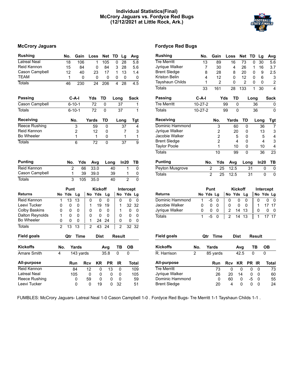#### **Individual Statistics(Final) McCrory Jaguars vs. Fordyce Red Bugs (12/12/2021 at Little Rock, Ark.)**



| <b>Rushing</b>         |                | No.             | Gain            |                | Loss           | Net TD          |              | Lg              | Avg              |              | <b>Rushing</b>       | No.            |                | Gain            | Loss           |                | <b>Net</b>     | TD           | Lg                      |
|------------------------|----------------|-----------------|-----------------|----------------|----------------|-----------------|--------------|-----------------|------------------|--------------|----------------------|----------------|----------------|-----------------|----------------|----------------|----------------|--------------|-------------------------|
| <b>Latreal Neal</b>    |                | 18              | 106             |                | 1              | 105             | 0            | $\overline{28}$ | 5.8              |              | <b>Tre Merritt</b>   |                | 13             | 89              |                | 16             | 73             | 0            | 3 <sub>0</sub>          |
| Reid Kennon            |                | 15              | 84              |                | 0              | 84              | 3            | 28              | 5.6              |              | Jyrigue Walker       |                | 7              | 30              |                | 4              | 26             | $\mathbf{1}$ | 16                      |
| Cason Campbell         |                | 12              | 40              |                | 23             | 17              | $\mathbf{1}$ | 13              | 1.4              |              | <b>Brent Sledge</b>  |                | 8              | 28              |                | 8              | 20             | 0            | Ç                       |
| <b>TEAM</b>            |                | 1               | $\mathbf 0$     |                | $\mathbf{0}$   | $\Omega$        | 0            | 0               |                  | 0            | <b>Kriston Belin</b> |                | 4              | 12              |                | $\mathbf{0}$   | 12             | 0            | $\epsilon$              |
| <b>Totals</b>          |                | 46              | 230             |                | 24             | 206             | 4            | 28              | 4.5              |              | Tayshaun Childs      |                | 1              | $\overline{2}$  |                | 0              | $\overline{2}$ | 0            | $\overline{\mathbf{a}}$ |
|                        |                |                 |                 |                |                |                 |              |                 |                  |              | Totals               |                | 33             | 161             |                | 28             | 133            | 1            | 3 <sub>0</sub>          |
| Passing                |                |                 | $C-A-I$         | Yds            |                | TD              | Long         |                 | <b>Sack</b>      |              | <b>Passing</b>       | $C-A-I$        |                |                 | Yds            | <b>TD</b>      |                | Long         |                         |
| Cason Campbell         |                |                 | $6 - 10 - 1$    |                | 72             | $\Omega$        |              | $\overline{37}$ |                  | $\mathbf{1}$ | <b>Tre Merritt</b>   | $10-27-2$      |                |                 | 99             | $\mathbf{0}$   |                |              | 36                      |
| <b>Totals</b>          |                |                 | $6 - 10 - 1$    |                | 72             | $\Omega$        |              | 37              |                  | $\mathbf{1}$ | <b>Totals</b>        | $10-27-2$      |                |                 | 99             | $\mathbf{0}$   |                |              | 36                      |
| <b>Receiving</b>       |                |                 | No.             | Yards          |                | TD              |              | Long            | <b>Tgt</b>       |              | <b>Receiving</b>     |                |                | No.             | Yards          |                | TD             |              | Lon                     |
| <b>Reece Rushing</b>   |                |                 | 3               |                | 59             | $\Omega$        |              | 37              |                  | 4            | Dominic Hammond      |                |                | 3               |                | 60             | 0              |              | 3                       |
| Reid Kennon            |                |                 | 2               |                | 12             | 0               |              | 7               |                  | 3            | Jyrigue Walker       |                |                | 2               |                | 20             | 0              |              | 1                       |
| <b>Bo Wheeler</b>      |                |                 | $\mathbf 1$     |                | $\mathbf{1}$   | 0               |              | 1               |                  | 1            | Jacobie Walker       |                |                | $\overline{c}$  |                | 5              | 0              |              |                         |
| <b>Totals</b>          |                |                 | 6               |                | 72             | 0               |              | 37              |                  | 9            | <b>Brent Sledge</b>  |                |                | $\overline{2}$  |                | $\overline{4}$ | 0              |              |                         |
|                        |                |                 |                 |                |                |                 |              |                 |                  |              | <b>Taylor Poole</b>  |                |                | 1               |                | 10             | 0              |              | 1                       |
|                        |                |                 |                 |                |                |                 |              |                 |                  |              | <b>Totals</b>        |                |                | 10              |                | 99             | 0              |              | 3                       |
| <b>Punting</b>         |                | No.             | Yds             |                | Avg            | Long            |              | In20            | TВ               |              | <b>Punting</b>       |                | No.            | Yds             |                | Avg            | Long           |              | In:                     |
| Reid Kennon            |                | $\overline{2}$  | 66              |                | 33.0           |                 | 40           |                 | $\mathbf{1}$     | $\mathbf 0$  | Peyton Musgrove      |                | $\overline{c}$ | $\overline{25}$ |                | 12.5           |                | 31           |                         |
| Cason Campbell         |                | 1               | 39              |                | 39.0           |                 | 39           |                 | 1                | 0            | <b>Totals</b>        |                | $\overline{2}$ | 25              |                | 12.5           |                | 31           |                         |
| <b>Totals</b>          |                | 3               | 105             |                | 35.0           |                 | 40           |                 | $\overline{2}$   | $\mathbf 0$  |                      |                |                |                 |                |                |                |              |                         |
|                        |                | Punt            |                 |                | <b>Kickoff</b> |                 |              |                 | <b>Intercept</b> |              |                      |                | Punt           |                 |                | <b>Kickoff</b> |                |              | Inte                    |
| <b>Returns</b>         |                | No Yds          | Lg              |                | No Yds         | Lg              |              |                 | No Yds Lg        |              | <b>Returns</b>       |                | No Yds Lg      |                 |                | No Yds         | Lg             |              | No                      |
| Reid Kennon            | $\mathbf{1}$   | $\overline{13}$ | $\overline{13}$ | 0              | 0              | $\mathbf 0$     |              | $\Omega$        | 0                | $\Omega$     | Dominic Hammond      | 1              | $-5$           | $\Omega$        | 0              | 0              | $\Omega$       |              | $\mathbf 0$             |
| Leevi Tucker           | 0              | $\Omega$        | 0               | 1              | 19             | 19              |              | 1               | 32<br>32         |              | Jacobie Walker       | 0              | $\mathbf{0}$   | $\mathbf{0}$    | 0              | 0              | $\mathbf{0}$   |              | 1                       |
| Colby Baskins          | $\mathbf{0}$   | $\Omega$        | $\Omega$        | $\mathbf 0$    | $\Omega$       | $\Omega$        |              | 1               | $\mathbf{0}$     | $\Omega$     | Jyrique Walker       | 0              | 0              | 0               | $\overline{c}$ | 14             | 13             |              | 0                       |
| <b>Dalton Reynolds</b> | 1              | 0               | $\mathbf 0$     | $\mathbf 0$    | $\mathbf 0$    | 0               |              | $\mathbf{0}$    | 0                | $\mathbf 0$  | <b>Totals</b>        | $\mathbf{1}$   | $-5$           | $\mathbf 0$     | $\overline{2}$ | 14             | 13             |              | $\mathbf{1}$            |
| <b>Bo Wheeler</b>      | 0              | $\mathbf{0}$    | $\mathbf{0}$    | 1              | 24             | 24              |              | $\mathbf{0}$    | 0                | $\Omega$     |                      |                |                |                 |                |                |                |              |                         |
| <b>Totals</b>          | $\overline{2}$ | 13              | 13              | $\overline{2}$ | 43             | $\overline{24}$ |              | $\overline{2}$  | 32 32            |              |                      |                |                |                 |                |                |                |              |                         |
| Field goals            |                | Qtr             | <b>Time</b>     |                | <b>Dist</b>    |                 |              | Result          |                  |              | Field goals          |                | Qtr            | Time            |                | <b>Dist</b>    |                |              | <b>Result</b>           |
| <b>Kickoffs</b>        | No.            |                 | Yards           |                |                | Avg             |              | TВ              | <b>OB</b>        |              | <b>Kickoffs</b>      | No.            | Yards          |                 |                | Avg            |                | TВ           |                         |
| Amare Smith            | 4              |                 | 143 yards       |                |                | 35.8            | $\Omega$     |                 | $\mathbf 0$      |              | R. Harrison          | $\overline{2}$ |                | 85 yards        |                | 42.5           |                | 0            |                         |
| All-purpose            |                |                 | Run             | Rcv            | KR             | <b>PR</b>       |              | <b>IR</b>       | Total            |              | All-purpose          |                |                | Run             | Rcv            | KR             |                | PR IR        |                         |
| Reid Kennon            |                |                 | 84              | 12             | $\mathbf{0}$   | 13              |              | $\mathbf{0}$    | 109              |              | <b>Tre Merritt</b>   |                |                | 73              | $\mathbf 0$    |                | 0              | $\mathbf 0$  | 0                       |
| <b>Latreal Neal</b>    |                |                 | 105             | 0              | 0              |                 | 0            | 0               | 105              |              | Jyrique Walker       |                |                | 26              | 20             |                | 14             | 0            | $\pmb{0}$               |
| Reece Rushing          |                |                 | 0               | 59             | $\mathbf{0}$   |                 | $\mathbf 0$  | $\mathbf{0}$    | 59               |              | Dominic Hammond      |                |                | $\mathbf{0}$    | 60             |                | 0              | -5           | 0                       |
| Leevi Tucker           |                |                 | 0               | $\Omega$       | 19             |                 | $\Omega$     | 32              | 51               |              | <b>Brent Sledge</b>  |                |                | 20              | 4              |                | 0              | 0            | 0                       |

#### **McCrory Jaguars Fordyce Red Bugs**

| <b>Rushing</b>            | No.            |                | Gain           |     | Loss           | <b>Net</b>     | TD        |        | Lg        | Avg        |
|---------------------------|----------------|----------------|----------------|-----|----------------|----------------|-----------|--------|-----------|------------|
| <b>Tre Merritt</b>        |                | 13             | 89             |     | 16             | 73             |           | 0      | 30        | 5.6        |
| Jyrique Walker            |                | 7              | 30             |     | 4              | 26             |           | 1      | 16        | 3.7        |
| <b>Brent Sledge</b>       |                | 8              | 28             |     | 8              | 20             |           | 0      | 9         | 2.5        |
| Kriston Belin             |                | 4              | 12             |     | 0              | 12             |           | 0      | 6         | 3          |
| Tayshaun Childs           |                | 1              | 2              |     | 0              | 2              |           | 0      | 0         | 2          |
| <b>Totals</b>             |                | 33             | 161            |     | 28             | 133            |           | 1      | 30        | 4          |
| Passing                   | $C-A-I$        |                |                | Yds | TD             |                | Long      |        |           | Sack       |
| <b>Tre Merritt</b>        | $10 - 27 - 2$  |                |                | 99  |                | 0              |           | 36     |           | 0          |
| <b>Totals</b>             | $10-27-2$      |                |                | 99  | 0              |                |           | 36     |           | 0          |
| Receiving                 |                |                | No.            |     | Yards          | TD             |           | Long   |           | <b>Tgt</b> |
| Dominic Hammond           |                |                | 3              |     | 60             |                | 0         |        | 36        | 7          |
| Jyrigue Walker            |                |                | $\overline{2}$ |     | 20             |                | 0         |        | 13        | 3          |
| Jacobie Walker            |                |                | $\overline{2}$ |     | 5              |                | 0         |        | 5         | 4          |
| <b>Brent Sledge</b>       |                |                | $\overline{2}$ |     | 4              |                | 0         |        | 4         | 3          |
| <b>Taylor Poole</b>       |                |                | 1              |     | 10             |                | 0         |        | 10        | 4          |
| <b>Totals</b>             |                |                | 10             |     | 99             |                | 0         |        | 36        | 23         |
| <b>Punting</b>            |                | No.            | Yds            |     | Avg            |                | Long      |        | In20      | ΤВ         |
| <b>Peyton Musgrove</b>    |                | $\overline{c}$ | 25             |     | 12.5           |                | 31        |        | 0         | 0          |
| Totals                    |                | $\overline{2}$ | 25             |     | 12.5           |                | 31        |        | 0         | 0          |
|                           |                |                |                |     |                |                |           |        |           |            |
|                           |                | Punt           |                |     |                | <b>Kickoff</b> |           |        | Intercept |            |
| <b>Returns</b>            |                | No Yds Lg      |                |     | No Yds         | Lg             |           | No     |           | Yds Lg     |
| Dominic Hammond           | 1              | -5             | 0              |     | 0              | 0<br>0         |           | 0      |           | 0<br>0     |
| Jacobie Walker            | 0              | 0              | 0              |     | 0              | 0<br>0         |           | 1      | 17        | 17         |
| Jyrique Walker            | 0              | 0              | 0              |     | 2              | 13<br>14       |           | 0      |           | 0<br>0     |
| <b>Totals</b>             | 1              | $-5$           | 0              |     | $\overline{2}$ | 13<br>14       |           | 1      | 17        | 17         |
|                           |                |                |                |     |                |                |           |        |           |            |
| Field goals               |                | Qtr            | Time           |     | Dist           |                |           | Result |           |            |
| <b>Kickoffs</b>           | No.            |                | Yards          |     |                | Avg            |           | TВ     | ОВ        |            |
| $\overline{R}$ . Harrison | $\overline{2}$ |                | 85 yards       |     |                | 42.5           | 0         |        | 0         |            |
| <b>All-purpose</b>        |                |                | Run            | Rcv |                | ΚR             | <b>PR</b> | IR     |           | Total      |
| <b>Tre Merritt</b>        |                |                | 73             |     | 0              | 0              | 0         | 0      |           | 73         |
| Jyrique Walker            |                |                | 26             |     | 20             | 14             | 0         | 0      |           | 60         |
| Dominic Hammond           |                |                | 0              |     | 60             | 0              | -5        | 0      |           | 55         |
| <b>Brent Sledge</b>       |                |                | 20             |     | 4              | 0              | 0         | 0      |           | 24         |

FUMBLES: McCrory Jaguars- Latreal Neal 1-0 Cason Campbell 1-0 . Fordyce Red Bugs- Tre Merritt 1-1 Tayshaun Childs 1-1 .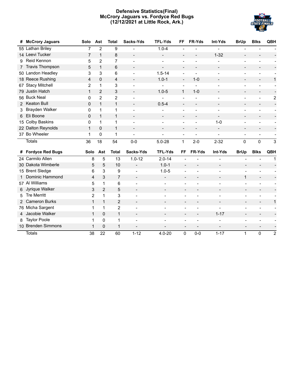#### **Defensive Statistics(Final) McCrory Jaguars vs. Fordyce Red Bugs (12/12/2021 at Little Rock, Ark.)**



| #              | <b>McCrory Jaguars</b> | Solo           | Ast            | <b>Total</b>   | Sacks-Yds                | <b>TFL-Yds</b>           | FF                       | FR-Yds                       | Int-Yds                      | <b>BrUp</b>                  | <b>Blks</b>              | QBH            |
|----------------|------------------------|----------------|----------------|----------------|--------------------------|--------------------------|--------------------------|------------------------------|------------------------------|------------------------------|--------------------------|----------------|
|                | 55 Lathan Briley       | 7              | 2              | 9              |                          | $1.0 - 4$                |                          |                              |                              |                              |                          |                |
|                | 14 Leevi Tucker        | $\overline{7}$ | $\mathbf{1}$   | 8              | $\overline{\phantom{a}}$ | $\overline{\phantom{a}}$ |                          |                              | $1 - 32$                     |                              |                          |                |
| 9              | Reid Kennon            | 5              | $\overline{c}$ | 7              | $\overline{a}$           |                          |                          |                              |                              |                              |                          |                |
|                | <b>Travis Thompson</b> | 5              | $\mathbf{1}$   | 6              | $\qquad \qquad -$        | $\overline{\phantom{a}}$ |                          | $\qquad \qquad \blacksquare$ | $\overline{\phantom{a}}$     | $\overline{\phantom{a}}$     |                          |                |
|                | 50 Landon Headley      | 3              | 3              | 6              |                          | $1.5 - 14$               |                          |                              |                              |                              |                          |                |
|                | 18 Reece Rushing       | 4              | 0              | 4              |                          | $1.0 - 1$                | $\overline{\phantom{a}}$ | $1-0$                        |                              |                              |                          | $\mathbf{1}$   |
|                | 67 Stacy Mitchell      | $\overline{2}$ | $\mathbf{1}$   | 3              | $\overline{a}$           |                          | $\overline{\phantom{a}}$ |                              |                              | $\overline{a}$               |                          |                |
|                | 79 Justin Hatch        | $\mathbf{1}$   | $\overline{2}$ | 3              | $\overline{\phantom{a}}$ | $1.0 - 5$                | $\mathbf{1}$             | $1 - 0$                      |                              | $\overline{a}$               | $\overline{a}$           |                |
|                | 56 Buck Neal           | $\mathbf{0}$   | $\overline{2}$ | $\overline{c}$ | $\overline{a}$           |                          |                          |                              |                              |                              |                          | $\overline{c}$ |
|                | <b>Keaton Bull</b>     | 0              | $\mathbf{1}$   | $\mathbf{1}$   |                          | $0.5 - 4$                |                          | $\overline{\phantom{0}}$     | $\qquad \qquad \blacksquare$ | $\overline{a}$               | $\overline{\phantom{a}}$ |                |
| 3.             | Brayden Walker         | 0              | $\mathbf{1}$   | 1              |                          |                          |                          |                              |                              |                              |                          |                |
| 6              | Eli Boone              | 0              | $\mathbf{1}$   | $\mathbf{1}$   |                          |                          |                          |                              |                              |                              |                          |                |
| 15             | <b>Colby Baskins</b>   | 0              | 1              | 1              | $\overline{a}$           |                          |                          |                              | $1-0$                        | $\overline{a}$               |                          |                |
|                | 22 Dalton Reynolds     | $\mathbf{1}$   | $\mathbf{0}$   | $\mathbf{1}$   | $\overline{\phantom{a}}$ | $\overline{\phantom{a}}$ | $\overline{\phantom{a}}$ | $\overline{a}$               | $\overline{\phantom{a}}$     | $\overline{a}$               |                          |                |
|                | 37 Bo Wheeler          | 1              | 0              | 1              | $\overline{a}$           |                          |                          |                              | ÷                            | $\overline{a}$               |                          |                |
|                | <b>Totals</b>          | 36             | 18             | 54             | $0-0$                    | $5.0 - 28$               | $\mathbf{1}$             | $2 - 0$                      | $2 - 32$                     | $\Omega$                     | 0                        | 3              |
|                | # Fordyce Red Bugs     | Solo           | Ast            | <b>Total</b>   | Sacks-Yds                | <b>TFL-Yds</b>           | <b>FF</b>                | FR-Yds                       | Int-Yds                      | <b>BrUp</b>                  | <b>Blks</b>              | QBH            |
|                | 24 Carmilo Allen       | 8              | 5              | 13             | $1.0 - 12$               | $2.0 - 14$               |                          |                              |                              |                              |                          | 1              |
|                | 30 Dakota Wimberle     | 5              | 5              | 10             | $\overline{\phantom{0}}$ | $1.0 - 1$                | $\overline{\phantom{a}}$ |                              | $\overline{\phantom{a}}$     |                              |                          |                |
|                | 15 Brent Sledge        | 6              | 3              | 9              | $\overline{a}$           | $1.0 - 5$                |                          |                              | $\overline{\phantom{a}}$     |                              |                          |                |
|                | Dominic Hammond        | 4              | 3              | $\overline{7}$ | $\overline{\phantom{a}}$ | $\overline{\phantom{a}}$ | $\overline{\phantom{a}}$ | $\overline{a}$               | $\overline{\phantom{a}}$     | $\mathbf{1}$                 | $\overline{\phantom{a}}$ |                |
|                | 57 Al Williams         | 5              | 1              | 6              |                          |                          |                          |                              |                              |                              |                          |                |
| 6              | Jyrique Walker         | 3              | $\overline{2}$ | 5              |                          | $\qquad \qquad -$        |                          |                              |                              | $\qquad \qquad -$            |                          |                |
| 5.             | <b>Tre Merritt</b>     | $\overline{2}$ | 1              | 3              | $\overline{a}$           |                          |                          |                              |                              | $\overline{\phantom{0}}$     |                          |                |
| $\overline{2}$ | <b>Cameron Burks</b>   | $\mathbf{1}$   | $\mathbf{1}$   | 2              | $\overline{a}$           |                          | $\overline{\phantom{a}}$ | $\overline{\phantom{0}}$     |                              |                              | $\overline{\phantom{a}}$ | $\mathbf{1}$   |
|                | 76 Micha Sargent       | 1              | 1              | $\overline{2}$ | $\overline{a}$           | L,                       | $\overline{a}$           |                              |                              |                              |                          |                |
| 4              | Jacobie Walker         | 1              | 0              | $\mathbf{1}$   | $\overline{\phantom{0}}$ |                          | $\overline{\phantom{a}}$ | $\overline{\phantom{0}}$     | $1 - 17$                     | $\qquad \qquad \blacksquare$ | $\overline{\phantom{a}}$ |                |
|                |                        |                | 0              |                |                          |                          |                          |                              |                              |                              |                          |                |
| 8              | <b>Taylor Poole</b>    | 1              |                | 1              |                          |                          | $\overline{a}$           |                              |                              |                              |                          |                |
|                | 10 Brenden Simmons     | 1              | 0              | 1              |                          |                          |                          |                              |                              |                              |                          |                |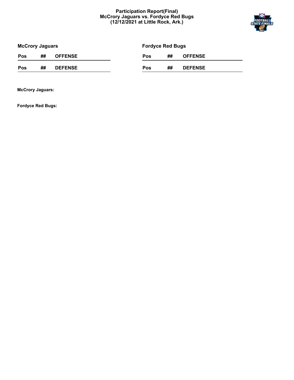#### **Participation Report(Final) McCrory Jaguars vs. Fordyce Red Bugs (12/12/2021 at Little Rock, Ark.)**



| <b>McCrory Jaguars</b> |    |                | <b>Fordyce Red Bugs</b> |     |    |                |  |  |  |
|------------------------|----|----------------|-------------------------|-----|----|----------------|--|--|--|
| Pos                    | ## | <b>OFFENSE</b> |                         | Pos | ## | <b>OFFENSE</b> |  |  |  |
| Pos                    | ## | <b>DEFENSE</b> |                         | Pos | ## | <b>DEFENSE</b> |  |  |  |

**McCrory Jaguars:**

**Fordyce Red Bugs:**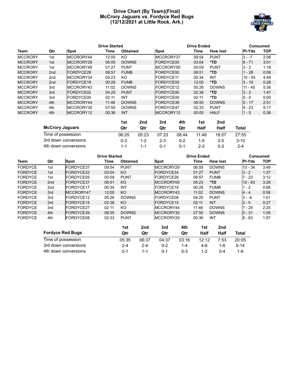#### **Drive Chart (By Team)(Final) McCrory Jaguars vs. Fordyce Red Bugs (12/12/2021 at Little Rock, Ark.)**



|                |                 |                   | <b>Drive Started</b> |                 |           | <b>Drive Ended</b> |                 |               |            |  |
|----------------|-----------------|-------------------|----------------------|-----------------|-----------|--------------------|-----------------|---------------|------------|--|
| Team           | Qtr             | <b>Spot</b>       | Time                 | <b>Obtained</b> | Spot      | Time               | <b>How lost</b> | <b>PI-Yds</b> | <b>TOP</b> |  |
| <b>MCCRORY</b> | 1st             | MCCRORY44         | 12:00                | KO              | MCCRORY37 | 09:54              | <b>PUNT</b>     | $3 - -7$      | 2:06       |  |
| <b>MCCRORY</b> | 1st             | MCCRORY29         | 06:05                | <b>DOWNS</b>    | FORDYCE00 | 03:04              | *TD             | $8 - 71$      | 3:01       |  |
| <b>MCCRORY</b> | 1st             | MCCRORY48         | 01:27                | <b>PUNT</b>     | MCCRORY50 | 00:09              | <b>PUNT</b>     | $3 - 2$       | 1:18       |  |
| <b>MCCRORY</b> | 2 <sub>nd</sub> | FORDYCE28         | 08:57                | <b>FUMB</b>     | FORDYCE00 | 08:51              | *TD             | - 28          | 0:06       |  |
| <b>MCCRORY</b> | 2 <sub>nd</sub> | MCCRORY34         | 05:23                | KO              | FORDYCE11 | 00:34              | <b>INT</b>      | $10 - 55$     | 4:49       |  |
| <b>MCCRORY</b> | 2 <sub>nd</sub> | FORDYCE19         | 00:28                | <b>FUMB</b>     | FORDYCE00 | 12:00              | $*TD$           | $3 - 19$      | 0:28       |  |
| <b>MCCRORY</b> | 3rd             | MCCRORY43         | 11:02                | <b>DOWNS</b>    | FORDYCE12 | 05:26              | <b>DOWNS</b>    | $11 - 45$     | 5:36       |  |
| <b>MCCRORY</b> | 3rd             | <b>IFORDYCE02</b> | 04:25                | <b>PUNT</b>     | FORDYCE00 | 02:38              | *TD             | $3 - 2$       | 1:47       |  |
| <b>MCCRORY</b> | 3rd             | FORDYCE00         | 02:11                | INT             | FORDYCE00 | 02:11              | $*TD$           | $0 - 0$       | 0:00       |  |
| <b>MCCRORY</b> | 4th             | MCCRORY44         | 11:46                | <b>DOWNS</b>    | FORDYCE39 | 08:55              | <b>DOWNS</b>    | $5 - 17$      | 2:51       |  |
| <b>MCCRORY</b> | 4th             | MCCRORY30         | 07:50                | <b>DOWNS</b>    | FORDYCE47 | 02:33              | <b>PUNT</b>     | $8 - 23$      | 5:17       |  |
| <b>MCCRORY</b> | 4th             | MCCRORY12         | 00:36                | <b>INT</b>      | MCCRORY12 | 00:00              | <b>HALF</b>     | $1 - 0$       | 0:36       |  |

|                        | 1st     | 2nd     | 3rd     | 4th     | 1st   | 2nd     |          |
|------------------------|---------|---------|---------|---------|-------|---------|----------|
| <b>McCrory Jaguars</b> | Qtr     | Qtr     | Qtr     | Qtr     | Half  | Half    | Total    |
| Time of possession     | 06:25   | 05:23   | 07:23   | 08:44   | 11:48 | 16:07   | 27:55    |
| 3rd down conversions   | 0-3     | 1-2     | $2 - 3$ | $0 - 2$ | 1-5   | $2 - 5$ | $3 - 10$ |
| 4th down conversions   | $1 - 1$ | $1 - 1$ | 0-1     | $0 - 1$ | $2-2$ | $0 - 2$ | $2 - 4$  |

|                |     | <b>Drive Started</b>    |       |                 | <b>Drive Ended</b> | <b>Consumed</b>  |     |             |                 |               |            |
|----------------|-----|-------------------------|-------|-----------------|--------------------|------------------|-----|-------------|-----------------|---------------|------------|
| Team           | Qtr | Spot                    | Time  | <b>Obtained</b> |                    | <b>Spot</b>      |     | Time        | <b>How lost</b> | <b>PI-Yds</b> | <b>TOP</b> |
| <b>FORDYCE</b> | 1st | FORDYCE37               | 09:54 | <b>PUNT</b>     |                    | MCCRORY29        |     | 06:05       | <b>DOWNS</b>    | $10 - 34$     | 3:49       |
| <b>FORDYCE</b> | 1st | FORDYCE32               | 03:04 | KO              |                    | <b>FORDYCE34</b> |     | 01:27       | <b>PUNT</b>     | $3 - 2$       | 1:37       |
| <b>FORDYCE</b> | 1st | FORDYCE05               | 00:09 | <b>PUNT</b>     |                    | FORDYCE28        |     | 08:57       | <b>FUMB</b>     | $7 - 23$      | 3:12       |
| <b>FORDYCE</b> | 2nd | FORDYCE37               | 08:51 | KO              |                    | MCCRORY00        |     | 05:23       | *TD             | $10 - 63$     | 3:28       |
| <b>FORDYCE</b> | 2nd | FORDYCE17               | 00:34 | <b>INT</b>      |                    | FORDYCE19        |     | 00:28       | <b>FUMB</b>     | $1 - 2$       | 0:06       |
| <b>FORDYCE</b> | 3rd | MCCRORY47               | 12:00 | KO              |                    | MCCRORY43        |     | 11:02       | <b>DOWNS</b>    | $4 - 4$       | 0:58       |
| <b>FORDYCE</b> | 3rd | FORDYCE12               | 05:26 | <b>DOWNS</b>    |                    | FORDYCE08        |     | 04:25       | <b>PUNT</b>     | $3 - -4$      | 1:01       |
| <b>FORDYCE</b> | 3rd | FORDYCE15               | 02:38 | KO              |                    | FORDYCE15        |     | 02:11       | <b>INT</b>      | $2 - 0$       | 0:27       |
| <b>FORDYCE</b> | 3rd | FORDYCE27               | 02:11 | KO              |                    | MCCRORY44        |     | 11:46       | <b>DOWNS</b>    | $7 - 29$      | 2:25       |
| <b>FORDYCE</b> | 4th | FORDYCE39               | 08:55 | <b>DOWNS</b>    |                    | MCCRORY30        |     | 07:50       | <b>DOWNS</b>    | $5 - 31$      | 1:05       |
| <b>FORDYCE</b> | 4th | <b>FORDYCE08</b>        | 02:33 | <b>PUNT</b>     |                    | MCCRORY29        |     | 00:36       | INT             | $8 - 63$      | 1:57       |
|                |     |                         |       | 1st             | 2nd                | 3rd              | 4th | 1st         | 2 <sub>nd</sub> |               |            |
|                |     | <b>Fordyce Red Bugs</b> |       | Qtr             | Qtr                | Qtr              | Qtr | <b>Half</b> | <b>Half</b>     | <b>Total</b>  |            |

| <b>Fordyce Red Bugs</b> | Otr   | Otr     | Qtr     | Qtr     | Half  | Half | Total  |  |
|-------------------------|-------|---------|---------|---------|-------|------|--------|--|
| Time of possession      | 05:35 | 06:37   | 04:37   | 03:16   | 12:12 | 7:53 | 20:05  |  |
| 3rd down conversions    | 2-4   | $2 - 4$ | $0 - 2$ | $1 - 4$ | 4-8   | 1-6  | $5-14$ |  |
| 4th down conversions    | በ-1   |         | በ-1     | $0 - 3$ | 1-2   | N-4  | 1-6    |  |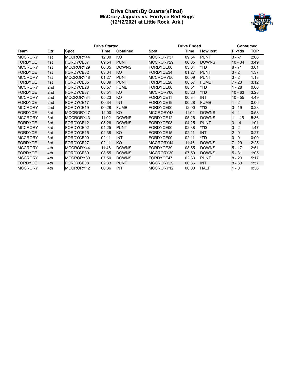#### **Drive Chart (By Quarter)(Final) McCrory Jaguars vs. Fordyce Red Bugs (12/12/2021 at Little Rock, Ark.)**



|                |     |                   | <b>Drive Started</b> |                 |                   | <b>Drive Ended</b> |                 |           |            |  |
|----------------|-----|-------------------|----------------------|-----------------|-------------------|--------------------|-----------------|-----------|------------|--|
| Team           | Qtr | <b>Spot</b>       | Time                 | <b>Obtained</b> | <b>Spot</b>       | <b>Time</b>        | <b>How lost</b> | PI-Yds    | <b>TOP</b> |  |
| <b>MCCRORY</b> | 1st | MCCRORY44         | 12:00                | <b>KO</b>       | MCCRORY37         | 09:54              | <b>PUNT</b>     | $3 - -7$  | 2:06       |  |
| <b>FORDYCE</b> | 1st | <b>FORDYCE37</b>  | 09:54                | <b>PUNT</b>     | MCCRORY29         | 06:05              | <b>DOWNS</b>    | $10 - 34$ | 3:49       |  |
| <b>MCCRORY</b> | 1st | MCCRORY29         | 06:05                | <b>DOWNS</b>    | FORDYCE00         | 03:04              | *TD             | $8 - 71$  | 3:01       |  |
| <b>FORDYCE</b> | 1st | FORDYCE32         | 03:04                | KO.             | <b>FORDYCE34</b>  | 01:27              | <b>PUNT</b>     | $3 - 2$   | 1:37       |  |
| <b>MCCRORY</b> | 1st | MCCRORY48         | 01:27                | <b>PUNT</b>     | MCCRORY50         | 00:09              | <b>PUNT</b>     | $3 - 2$   | 1:18       |  |
| <b>FORDYCE</b> | 1st | FORDYCE05         | 00:09                | <b>PUNT</b>     | <b>FORDYCE28</b>  | 08:57              | <b>FUMB</b>     | $7 - 23$  | 3:12       |  |
| <b>MCCRORY</b> | 2nd | <b>IFORDYCE28</b> | 08:57                | <b>FUMB</b>     | FORDYCE00         | 08:51              | *TD             | $1 - 28$  | 0:06       |  |
| <b>FORDYCE</b> | 2nd | <b>FORDYCE37</b>  | 08:51                | KO              | MCCRORY00         | 05:23              | $*TD$           | $10 - 63$ | 3:28       |  |
| <b>MCCRORY</b> | 2nd | MCCRORY34         | 05:23                | KO.             | <b>IFORDYCE11</b> | 00:34              | INT             | $10 - 55$ | 4:49       |  |
| <b>FORDYCE</b> | 2nd | <b>FORDYCE17</b>  | 00:34                | <b>INT</b>      | FORDYCE19         | 00:28              | <b>FUMB</b>     | $1 - 2$   | 0:06       |  |
| <b>MCCRORY</b> | 2nd | FORDYCE19         | 00:28                | <b>FUMB</b>     | FORDYCE00         | 12:00              | *TD             | $3 - 19$  | 0:28       |  |
| <b>FORDYCE</b> | 3rd | IMCCRORY47        | 12:00                | KO.             | MCCRORY43         | 11:02              | <b>DOWNS</b>    | $4 - 4$   | 0:58       |  |
| <b>MCCRORY</b> | 3rd | MCCRORY43         | 11:02                | <b>DOWNS</b>    | FORDYCE12         | 05:26              | <b>DOWNS</b>    | $11 - 45$ | 5:36       |  |
| <b>FORDYCE</b> | 3rd | FORDYCE12         | 05:26                | <b>DOWNS</b>    | <b>FORDYCE08</b>  | 04:25              | <b>PUNT</b>     | $3 - -4$  | 1:01       |  |
| <b>MCCRORY</b> | 3rd | FORDYCE02         | 04:25                | <b>PUNT</b>     | <b>FORDYCE00</b>  | 02:38              | *TD             | $3 - 2$   | 1:47       |  |
| <b>FORDYCE</b> | 3rd | FORDYCE15         | 02:38                | KO.             | <b>FORDYCE15</b>  | 02:11              | <b>INT</b>      | $2 - 0$   | 0:27       |  |
| <b>MCCRORY</b> | 3rd | FORDYCE00         | 02:11                | <b>INT</b>      | FORDYCE00         | 02:11              | *TD             | IO - O    | 0:00       |  |
| <b>FORDYCE</b> | 3rd | <b>FORDYCE27</b>  | 02:11                | KO.             | MCCRORY44         | 11:46              | <b>DOWNS</b>    | 7 - 29    | 2:25       |  |
| <b>MCCRORY</b> | 4th | MCCRORY44         | 11:46                | <b>DOWNS</b>    | FORDYCE39         | 08:55              | <b>DOWNS</b>    | $5 - 17$  | 2:51       |  |
| <b>FORDYCE</b> | 4th | <b>FORDYCE39</b>  | 08:55                | <b>DOWNS</b>    | MCCRORY30         | 07:50              | <b>DOWNS</b>    | $5 - 31$  | 1:05       |  |
| <b>MCCRORY</b> | 4th | MCCRORY30         | 07:50                | <b>DOWNS</b>    | FORDYCE47         | 02:33              | <b>PUNT</b>     | $8 - 23$  | 5:17       |  |
| <b>FORDYCE</b> | 4th | FORDYCE08         | 02:33                | <b>PUNT</b>     | MCCRORY29         | 00:36              | <b>INT</b>      | $8 - 63$  | 1:57       |  |
| <b>MCCRORY</b> | 4th | MCCRORY12         | 00:36                | INT             | MCCRORY12         | 00:00              | <b>HALF</b>     | $1 - 0$   | 0:36       |  |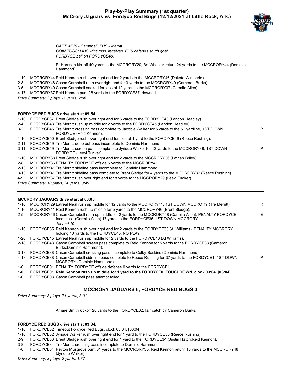#### **Play-by-Play Summary (1st quarter) McCrory Jaguars vs. Fordyce Red Bugs (12/12/2021 at Little Rock, Ark.)**



P

*CAPT: MHS - Campbell. FHS - Merritt COIN TOSS: MHS wins toss, receives. FHS defends south goal FORDYCE ball on FORDYCE40.*

R. Harrison kickoff 40 yards to the MCCRORY20, Bo Wheeler return 24 yards to the MCCRORY44 (Dominic Hammond).

- 1-10 MCCRORY44 Reid Kennon rush over right end for 2 yards to the MCCRORY46 (Dakota Wimberle).
- 2-8 MCCRORY46 Cason Campbell rush over right end for 3 yards to the MCCRORY49 (Cameron Burks).
- 3-5 MCCRORY49 Cason Campbell sacked for loss of 12 yards to the MCCRORY37 (Carmilo Allen).
- 4-17 MCCRORY37 Reid Kennon punt 26 yards to the FORDYCE37, downed.
- *Drive Summary: 3 plays, -7 yards, 2:06*

#### **FORDYCE RED BUGS drive start at 09:54.**

| $1 - 10$ | FORDYCE37 Brent Sledge rush over right end for 6 yards to the FORDYCE43 (Landon Headley).                                                                                       |    |
|----------|---------------------------------------------------------------------------------------------------------------------------------------------------------------------------------|----|
| $2 - 4$  | FORDYCE43 Tre Merritt rush up middle for 2 yards to the FORDYCE45 (Landon Headley).                                                                                             |    |
| $3-2$    | FORDYCE45 Tre Merritt crossing pass complete to Jacobie Walker for 5 yards to the 50 yardline, 1ST DOWN<br>FORDYCE (Reid Kennon).                                               | P  |
| $1 - 10$ | FORDYCE50 Brent Sledge rush over right end for loss of 1 yard to the FORDYCE49 (Reece Rushing).                                                                                 |    |
| $2 - 11$ | FORDYCE49 Tre Merritt deep out pass incomplete to Dominic Hammond.                                                                                                              |    |
| $3 - 11$ | FORDYCE49 Tre Merritt screen pass complete to Jyrique Walker for 13 yards to the MCCRORY38, 1ST DOWN<br>FORDYCE (Leevi Tucker).                                                 | P  |
| $1 - 10$ | MCCRORY38 Brent Sledge rush over right end for 2 yards to the MCCRORY36 (Lathan Briley).                                                                                        |    |
| $2 - 8$  | MCCRORY36 PENALTY FORDYCE offside 5 yards to the MCCRORY41.                                                                                                                     |    |
| $2 - 13$ | MCCRORY41 Tre Merritt sideline pass incomplete to Dominic Hammond.                                                                                                              |    |
| $3 - 13$ | MCCRORY41 Tre Merritt sideline pass complete to Brent Sledge for 4 yards to the MCCRORY37 (Reece Rushing).                                                                      |    |
| $4 - 9$  | MCCRORY37 Tre Merritt rush over right end for 8 yards to the MCCRORY29 (Leevi Tucker).                                                                                          |    |
|          | Drive Summary: 10 plays, 34 yards, 3:49                                                                                                                                         |    |
|          |                                                                                                                                                                                 |    |
|          | <b>MCCRORY JAGUARS drive start at 06:05.</b>                                                                                                                                    |    |
| $1 - 10$ | MCCRORY29 Latreal Neal rush up middle for 12 yards to the MCCRORY41, 1ST DOWN MCCRORY (Tre Merritt).                                                                            | R  |
| $1 - 10$ | MCCRORY41 Reid Kennon rush up middle for 5 yards to the MCCRORY46 (Brent Sledge).                                                                                               |    |
| $2 - 5$  | MCCRORY46 Cason Campbell rush up middle for 2 yards to the MCCRORY48 (Carmilo Allen), PENALTY FORDYCE<br>face mask (Carmilo Allen) 17 yards to the FORDYCE35, 1ST DOWN MCCRORY. | E. |
|          | 1st and 10.                                                                                                                                                                     |    |

- 1-10 FORDYCE35 Reid Kennon rush over right end for 2 yards to the FORDYCE33 (Al Williams), PENALTY MCCRORY holding 10 yards to the FORDYCE45, NO PLAY.
- 1-20 FORDYCE45 Latreal Neal rush up middle for 2 yards to the FORDYCE43 (Al Williams).
- 2-18 FORDYCE43 Cason Campbell screen pass complete to Reid Kennon for 5 yards to the FORDYCE38 (Cameron Burks;Dominic Hammond).
- 3-13 FORDYCE38 Cason Campbell crossing pass incomplete to Colby Baskins (Dominic Hammond).

4-13 FORDYCE38 Cason Campbell sideline pass complete to Reece Rushing for 37 yards to the FORDYCE1, 1ST DOWN MCCRORY (Dominic Hammond).

- 1-0 FORDYCE01 PENALTY FORDYCE offside defense 0 yards to the FORDYCE1.
- **1-0 FORDYCE01 Reid Kennon rush up middle for 1 yard to the FORDYCE0, TOUCHDOWN, clock 03:04. [03:04]**
- 1-0 FORDYCE03 Cason Campbell pass attempt failed.

### **MCCRORY JAGUARS 6, FORDYCE RED BUGS 0**

*Drive Summary: 8 plays, 71 yards, 3:01*

Amare Smith kickoff 28 yards to the FORDYCE32, fair catch by Cameron Burks.

#### **FORDYCE RED BUGS drive start at 03:04.**

1-10 FORDYCE32 Timeout Fordyce Red Bugs, clock 03:04. [03:04]

- 1-10 FORDYCE32 Jyrique Walker rush over right end for 1 yard to the FORDYCE33 (Reece Rushing).
- 2-9 FORDYCE33 Brent Sledge rush over right end for 1 yard to the FORDYCE34 (Justin Hatch;Reid Kennon).
- 3-8 FORDYCE34 Tre Merritt crossing pass incomplete to Dominic Hammond.
- 4-8 FORDYCE34 Peyton Musgrove punt 31 yards to the MCCRORY35, Reid Kennon return 13 yards to the MCCRORY48 (Jyrique Walker).

*Drive Summary: 3 plays, 2 yards, 1:37*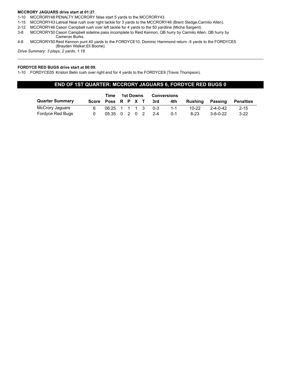#### **MCCRORY JAGUARS drive start at 01:27.**

- 1-10 MCCRORY48 PENALTY MCCRORY false start 5 yards to the MCCRORY43.
- 1-15 MCCRORY43 Latreal Neal rush over right tackle for 3 yards to the MCCRORY46 (Brent Sledge;Carmilo Allen).
- 2-12 MCCRORY46 Cason Campbell rush over left tackle for 4 yards to the 50 yardline (Micha Sargent).
- 3-8 MCCRORY50 Cason Campbell sideline pass incomplete to Reid Kennon, QB hurry by Carmilo Allen, QB hurry by Cameron Burks.
- 4-8 MCCRORY50 Reid Kennon punt 40 yards to the FORDYCE10, Dominic Hammond return -5 yards to the FORDYCE5 (Brayden Walker;Eli Boone).

*Drive Summary: 3 plays, 2 yards, 1:18*

#### **FORDYCE RED BUGS drive start at 00:09.**

1-10 FORDYCE05 Kriston Belin rush over right end for 4 yards to the FORDYCE9 (Travis Thompson).

#### **END OF 1ST QUARTER: MCCRORY JAGUARS 6, FORDYCE RED BUGS 0**

|                        | Time |                         |  | 1st Downs |  |  |         | <b>Conversions</b> |           |                  |                  |
|------------------------|------|-------------------------|--|-----------|--|--|---------|--------------------|-----------|------------------|------------------|
| <b>Quarter Summary</b> |      | Score Poss R P X T      |  |           |  |  | -3rd    | 4th                | Rushing   | Passing          | <b>Penalties</b> |
| McCrory Jaquars        |      | 06:25 1 1 1 3           |  |           |  |  | - 0-3   | $1 - 1$            | $10 - 22$ | $2 - 4 - 0 - 42$ | $2 - 15$         |
| Fordyce Red Bugs       |      | $05:35 \t0 \t2 \t0 \t2$ |  |           |  |  | $2 - 4$ | $0 - 1$            | $8-23$    | $3 - 6 - 0 - 22$ | $3-22$           |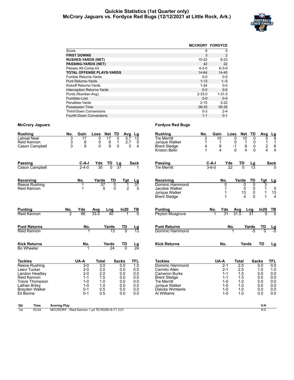#### **Quickie Statistics (1st Quarter only) McCrory Jaguars vs. Fordyce Red Bugs (12/12/2021 at Little Rock, Ark.)**



|                                   | <b>MCCRORY FORDYCE</b> |                |
|-----------------------------------|------------------------|----------------|
| Score                             | 6                      | 0              |
| <b>FIRST DOWNS</b>                | 3                      | $\overline{2}$ |
| <b>RUSHES-YARDS (NET)</b>         | $10 - 22$              | $8 - 23$       |
| <b>PASSING-YARDS (NET)</b>        | 42                     | 22             |
| Passes Att-Comp-Int               | $4 - 2 - 0$            | $6 - 3 - 0$    |
| <b>TOTAL OFFENSE PLAYS-YARDS</b>  | 14-64                  | 14-45          |
| <b>Fumble Returns-Yards</b>       | $0 - 0$                | $0 - 0$        |
| <b>Punt Returns-Yards</b>         | $1 - 13$               | $1 - 5$        |
| Kickoff Returns-Yards             | $1 - 24$               | $0 - 0$        |
| <b>Interception Returns-Yards</b> | $0 - 0$                | $0 - 0$        |
| Punts (Number-Avg)                | $2 - 33.0$             | $1 - 31.0$     |
| Fumbles-Lost                      | $0 - 0$                | $0 - 0$        |
| Penalties-Yards                   | $2 - 15$               | $3-22$         |
| <b>Possession Time</b>            | 06:25                  | 05:35          |
| <b>Third-Down Conversions</b>     | $0 - 3$                | $2 - 4$        |
| Fourth-Down Conversions           | $1 - 1$                | $0 - 1$        |

| <b>Rushing</b>              | No.                                          | Gain               | Loss           | Net TD            |                 | Avg Lg                 | <b>Rushing</b>                        | No.            | Gain        |                         | Loss             | Net TD          | Avg                     | $\frac{\text{Lg}}{8}$                  |
|-----------------------------|----------------------------------------------|--------------------|----------------|-------------------|-----------------|------------------------|---------------------------------------|----------------|-------------|-------------------------|------------------|-----------------|-------------------------|----------------------------------------|
| <b>Latreal Neal</b>         | 3                                            | 17                 | $\overline{0}$ | 17<br>$\Omega$    | 5.7             | 12                     | <b>Tre Merritt</b>                    | $\overline{2}$ | 10          |                         | $\overline{0}$   | 10              | $\overline{0}$<br>5     |                                        |
| Reid Kennon                 | 3                                            | 8                  | 0              | 8<br>1            | 2.7             | 5                      | Jyrigue Walker                        | $\mathbf{1}$   | 1           |                         | $\Omega$         | $\mathbf{1}$    | 0<br>$\mathbf{1}$       | $\mathbf{1}$                           |
| Cason Campbell              | 3                                            | 9                  | $\Omega$       | 9<br>$\mathbf{0}$ | 3               | 4                      | <b>Brent Sledge</b><br>Kriston Belin  | 4<br>1         | 9           | $\overline{\mathbf{4}}$ | $-1$<br>$\Omega$ | 8<br>4          | 0<br>2<br>4<br>$\Omega$ | 6                                      |
|                             |                                              |                    |                |                   |                 |                        |                                       |                |             |                         |                  |                 |                         | 4                                      |
| <b>Passing</b>              |                                              | $C-A-I$            | Yds            | TD                | Lg              | Sack                   | <b>Passing</b>                        |                | $C-A-I$     | Yds                     | TD               | Lg              |                         | Sack                                   |
| Cason Campbell              |                                              | $2 - 4 - 0$        | 30             | $\overline{0}$    | $\overline{37}$ |                        | <b>Tre Merritt</b>                    |                | $3 - 6 - 0$ | 22                      | $\overline{0}$   | $\overline{13}$ |                         |                                        |
| Receiving                   |                                              | No.                | Yards          | TD                | Tgt             | <u>Lg</u>              | Receiving                             |                |             | No.                     | Yards            | TD              | Tgt                     | <u>Lg</u>                              |
| Reece Rushing               |                                              |                    | 37             | 0                 |                 | $\overline{37}$        | Dominic Hammond                       |                |             | $\Omega$                |                  | 0               | 0<br>3                  |                                        |
| Reid Kennon                 |                                              |                    | 5              | $\Omega$          | $\overline{2}$  | 5                      | Jacobie Walker                        |                |             | 1                       |                  | 5<br>13         | 0<br>1                  | $\begin{array}{c} 5 \\ 13 \end{array}$ |
|                             |                                              |                    |                |                   |                 |                        | Jyrique Walker<br><b>Brent Sledge</b> |                |             |                         |                  | 4               | 0<br>1<br>$\Omega$<br>1 | $\overline{4}$                         |
|                             |                                              |                    |                |                   |                 |                        |                                       |                |             |                         |                  |                 |                         |                                        |
| <b>Punting</b>              | No.                                          | Yds                | Avg            | Lng               | In20            | <u>тв</u>              | <b>Punting</b>                        |                | No.         | Yds                     | Avg              | Lng             | In20                    | $\frac{TB}{0}$                         |
| Reid Kennon                 | $\overline{2}$                               | 66                 | 33.0           | 40                |                 | ក                      | Peyton Musgrove                       |                |             | 31                      | 31.0             | $\overline{31}$ | $\overline{0}$          |                                        |
| <b>Punt Returns</b>         |                                              | No.                |                | Yards             | TD              | $\frac{\text{Lg}}{13}$ | <b>Punt Returns</b>                   |                |             | No.                     |                  | Yards           | TD                      | $\frac{\text{Lg}}{\text{-5}}$          |
| Reid Kennon                 |                                              |                    |                | $\overline{13}$   |                 |                        | Dominic Hammond                       |                |             |                         |                  | $-5$            | $\Omega$                |                                        |
| <b>Kick Returns</b>         |                                              | No.                |                | Yards             | TD              | <u>Lg</u>              | <b>Kick Returns</b>                   |                |             | No.                     |                  | Yards           | <b>TD</b>               | Lg                                     |
| <b>Bo Wheeler</b>           |                                              |                    |                | 24                | $\overline{0}$  | $\overline{24}$        |                                       |                |             |                         |                  |                 |                         |                                        |
| <b>Tackles</b>              |                                              | UA-A               | <b>Total</b>   |                   | <b>Sacks</b>    | <b>TFL</b>             | <b>Tackles</b>                        |                | UA-A        |                         | <b>Total</b>     |                 | <b>Sacks</b>            | <b>TFL</b>                             |
| <b>Reece Rushing</b>        |                                              | $3-0$              | 3.0            |                   | 0.0             | $\overline{1.0}$       | Dominic Hammond                       |                |             | $2 - 1$                 | $\overline{2.5}$ |                 | 0.0                     | $\overline{0.0}$                       |
| Leevi Tucker                |                                              | $2 - 0$            | 2.0            |                   | 0.0             | 0.0                    | Carmilo Allen                         |                |             | $2 - 1$                 | 2.5              |                 | 1.0                     | 1.0                                    |
| Landon Headlev              |                                              | $2 - 0$            | 2.0            |                   | 0.0             | 0.0                    | <b>Cameron Burks</b>                  |                |             | $1 - 1$                 | 1.5              |                 | 0.0                     | 0.0                                    |
| Reid Kennon                 |                                              | $1 - 1$            | 1.5            |                   | 0.0             | 0.0                    | <b>Brent Sledge</b>                   |                |             | $1 - 1$                 | 1.5              |                 | 0.0                     | 0.0                                    |
| <b>Travis Thompson</b>      |                                              | $1 - 0$            | 1.0            |                   | 0.0             | 0.0                    | <b>Tre Merritt</b>                    |                |             | $1 - 0$                 | 1.0              |                 | 0.0                     | 0.0                                    |
| Lathan Briley               |                                              | $1 - 0$            | 1.0            |                   | 0.0             | 0.0                    | Jyrigue Walker                        |                |             | $1 - 0$                 | 1.0              |                 | 0.0                     | 0.0                                    |
| Brayden Walker<br>Eli Boone |                                              | $0 - 1$<br>$0 - 1$ | 0.5<br>0.5     |                   | 0.0<br>0.0      | 0.0<br>0.0             | Dakota Wimberle<br>Al Williams        |                |             | $1 - 0$<br>$1 - 0$      | 1.0<br>1.0       |                 | 0.0<br>0.0              | 0.0<br>0.0                             |
|                             |                                              |                    |                |                   |                 |                        |                                       |                |             |                         |                  |                 |                         |                                        |
| Time<br>Qtr                 | <b>Scoring Play</b>                          |                    |                |                   |                 |                        |                                       |                |             |                         |                  |                 | V-H                     |                                        |
| 1st<br>03:04                | MCCRORY - Reid Kennon 1 yd TD RUSH 8-71 3:01 |                    |                |                   |                 |                        |                                       |                |             |                         |                  |                 | $6-0$                   |                                        |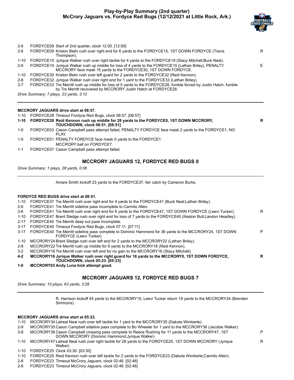#### **Play-by-Play Summary (2nd quarter) McCrory Jaguars vs. Fordyce Red Bugs (12/12/2021 at Little Rock, Ark.)**



P

| 2-6     | FORDYCE09 Start of 2nd quarter, clock 12:00. [12:00]                                                                                                                               |    |
|---------|------------------------------------------------------------------------------------------------------------------------------------------------------------------------------------|----|
| 2-6     | FORDYCE09 Kriston Belin rush over right end for 6 yards to the FORDYCE15, 1ST DOWN FORDYCE (Travis<br>Thompson).                                                                   | R  |
| 1-10    | FORDYCE15 Jyrique Walker rush over right tackle for 4 yards to the FORDYCE19 (Stacy Mitchell; Buck Neal).                                                                          |    |
| 2-6     | FORDYCE19 Jyrique Walker rush up middle for loss of 4 yards to the FORDYCE15 (Lathan Briley), PENALTY<br>MCCRORY face mask 15 yards to the FORDYCE30, 1ST DOWN FORDYCE.            | E. |
| 1-10    | FORDYCE30 Kriston Belin rush over left guard for 2 yards to the FORDYCE32 (Reid Kennon).                                                                                           |    |
| 2-8     | FORDYCE32 Jyrique Walker rush over right end for 1 yard to the FORDYCE33 (Lathan Briley).                                                                                          |    |
| $3 - 7$ | FORDYCE33 Tre Merritt rush up middle for loss of 5 yards to the FORDYCE28, fumble forced by Justin Hatch, fumble<br>by Tre Merritt recovered by MCCRORY Justin Hatch at FORDYCE28. |    |
|         | Drive Summary: 7 plays, 23 yards, 3:12                                                                                                                                             |    |
|         |                                                                                                                                                                                    |    |
|         |                                                                                                                                                                                    |    |

#### **MCCRORY JAGUARS drive start at 08:57.**

1-10 FORDYCE28 Timeout Fordyce Red Bugs, clock 08:57. [08:57]

|         | $100 - 101$                                                                                                  |  |
|---------|--------------------------------------------------------------------------------------------------------------|--|
|         | 1-10 FORDYCE28 Reid Kennon rush up middle for 28 yards to the FORDYCE0, 1ST DOWN MCCRORY,                    |  |
|         | <b>TOUCHDOWN, clock 08:51. [08:51]</b>                                                                       |  |
| 1-0     | FORDYCE03 Cason Campbell pass attempt failed, PENALTY FORDYCE face mask 2 yards to the FORDYCE1, NO<br>PI AY |  |
| 1-0     | FORDYCE01 PENALTY FORDYCE face mask 0 yards to the FORDYCE1.                                                 |  |
|         | <b>MCCRORY ball on FORDYCE7.</b>                                                                             |  |
| $1 - 1$ | FORDYCE07 Cason Campbell pass attempt failed.                                                                |  |

#### **MCCRORY JAGUARS 12, FORDYCE RED BUGS 0**

*Drive Summary: 1 plays, 28 yards, 0:06*

Amare Smith kickoff 23 yards to the FORDYCE37, fair catch by Cameron Burks.

#### **FORDYCE RED BUGS drive start at 08:51.**

|          | T ORD TOE INLD DOOD UITTE SLAIL AL 00.0T.                                                                                                |   |
|----------|------------------------------------------------------------------------------------------------------------------------------------------|---|
| 1-10     | FORDYCE37 Tre Merritt rush over right end for 4 yards to the FORDYCE41 (Buck Neal; Lathan Briley).                                       |   |
| $2-6$    | FORDYCE41 Tre Merritt sideline pass incomplete to Carmilo Allen.                                                                         |   |
| 3-6      | FORDYCE41 Tre Merritt rush over right end for 6 yards to the FORDYCE47, 1ST DOWN FORDYCE (Leevi Tucker).                                 | R |
| $1 - 10$ | FORDYCE47 Brent Sledge rush over right end for loss of 7 yards to the FORDYCE40 (Keaton Bull; Landon Headley).                           |   |
| 2-17     | FORDYCE40 Tre Merritt deep out pass incomplete.                                                                                          |   |
| $3 - 17$ | FORDYCE40 Timeout Fordyce Red Bugs, clock 07:11. [07:11]                                                                                 |   |
| $3 - 17$ | FORDYCE40 Tre Merritt sideline pass complete to Dominic Hammond for 36 yards to the MCCRORY24, 1ST DOWN<br>FORDYCE (Leevi Tucker).       | P |
| 1-10     | MCCRORY24 Brent Sledge rush over left end for 2 yards to the MCCRORY22 (Lathan Briley).                                                  |   |
| $2 - 8$  | MCCRORY22 Tre Merritt rush up middle for 6 yards to the MCCRORY16 (Reid Kennon).                                                         |   |
| $3-2$    | MCCRORY16 Tre Merritt rush over left end for no gain to the MCCRORY16 (Stacy Mitchell).                                                  |   |
| $4 - 2$  | MCCRORY16 Jyrique Walker rush over right quard for 16 yards to the MCCRORY0, 1ST DOWN FORDYCE,<br><b>TOUCHDOWN, clock 05:23. [05:23]</b> | R |
| $1 - 0$  | <b>MCCRORY03 Andy Luna kick attempt good.</b>                                                                                            |   |

#### **MCCRORY JAGUARS 12, FORDYCE RED BUGS 7**

*Drive Summary: 10 plays, 63 yards, 3:28*

R. Harrison kickoff 45 yards to the MCCRORY15, Leevi Tucker return 19 yards to the MCCRORY34 (Brenden Simmons).

#### **MCCRORY JAGUARS drive start at 05:23.**

- 1-10 MCCRORY34 Latreal Neal rush over left tackle for 1 yard to the MCCRORY35 (Dakota Wimberle).
- 2-9 MCCRORY35 Cason Campbell sideline pass complete to Bo Wheeler for 1 yard to the MCCRORY36 (Jacobie Walker).
- 3-8 MCCRORY36 Cason Campbell crossing pass complete to Reece Rushing for 11 yards to the MCCRORY47, 1ST DOWN MCCRORY (Dominic Hammond;Jyrique Walker).
- 1-10 MCCRORY47 Latreal Neal rush over right tackle for 28 yards to the FORDYCE25, 1ST DOWN MCCRORY (Jyrique Walker). R
- 1-10 FORDYCE25 Clock 03:30. [03:30]
- 1-10 FORDYCE25 Reid Kennon rush over left tackle for 2 yards to the FORDYCE23 (Dakota Wimberle;Carmilo Allen).
- 2-8 FORDYCE23 Timeout McCrory Jaguars, clock 02:46. [02:46]
- 2-8 FORDYCE23 Timeout McCrory Jaguars, clock 02:46. [02:46]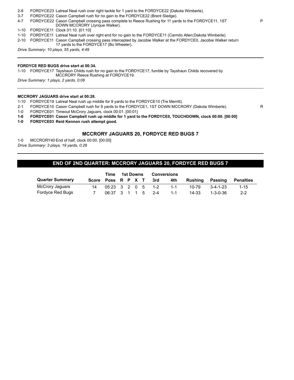- 2-8 FORDYCE23 Latreal Neal rush over right tackle for 1 yard to the FORDYCE22 (Dakota Wimberle).
- 3-7 FORDYCE22 Cason Campbell rush for no gain to the FORDYCE22 (Brent Sledge).
- 4-7 FORDYCE22 Cason Campbell crossing pass complete to Reece Rushing for 11 yards to the FORDYCE11, 1ST DOWN MCCRORY (Jyrique Walker).
- 1-10 FORDYCE11 Clock 01:10. [01:10]
- 1-10 FORDYCE11 Latreal Neal rush over right end for no gain to the FORDYCE11 (Carmilo Allen;Dakota Wimberle).
- 2-10 FORDYCE11 Cason Campbell crossing pass intercepted by Jacobie Walker at the FORDYCE0, Jacobie Walker return 17 yards to the FORDYCE17 (Bo Wheeler).

*Drive Summary: 10 plays, 55 yards, 4:49*

#### **FORDYCE RED BUGS drive start at 00:34.**

1-10 FORDYCE17 Tayshaun Childs rush for no gain to the FORDYCE17, fumble by Tayshaun Childs recovered by MCCRORY Reece Rushing at FORDYCE19.

*Drive Summary: 1 plays, 2 yards, 0:06*

#### **MCCRORY JAGUARS drive start at 00:28.**

- 1-10 FORDYCE19 Latreal Neal rush up middle for 9 yards to the FORDYCE10 (Tre Merritt).
- 2-1 FORDYCE10 Cason Campbell rush for 9 yards to the FORDYCE1, 1ST DOWN MCCRORY (Dakota Wimberle). R
- 1-0 FORDYCE01 Timeout McCrory Jaguars, clock 00:01. [00:01]
- **1-0 FORDYCE01 Cason Campbell rush up middle for 1 yard to the FORDYCE0, TOUCHDOWN, clock 00:00. [00:00]**

**1-0 FORDYCE03 Reid Kennon rush attempt good.**

#### **MCCRORY JAGUARS 20, FORDYCE RED BUGS 7**

1-0 MCCRORY40 End of half, clock 00:00. [00:00] *Drive Summary: 3 plays, 19 yards, 0:28*

#### **END OF 2ND QUARTER: MCCRORY JAGUARS 20, FORDYCE RED BUGS 7**

|                        | Time               | 1st Downs                                         |  |  | <b>Conversions</b> |      |         |         |          |                  |
|------------------------|--------------------|---------------------------------------------------|--|--|--------------------|------|---------|---------|----------|------------------|
| <b>Quarter Summary</b> | Score Poss R P X T |                                                   |  |  |                    | -3rd | 4th     | Rushina | Passing  | <b>Penalties</b> |
| McCrory Jaguars        | 14                 | $05:23 \quad 3 \quad 2 \quad 0 \quad 5 \quad 1-2$ |  |  |                    |      | $1 - 1$ | 10-79   | 3-4-1-23 | $1 - 15$         |
| Fordyce Red Bugs       |                    | 06:37 3 1 1 5 2-4                                 |  |  |                    |      | $1 - 1$ | 14-33   | 1-3-0-36 | $2 - 2$          |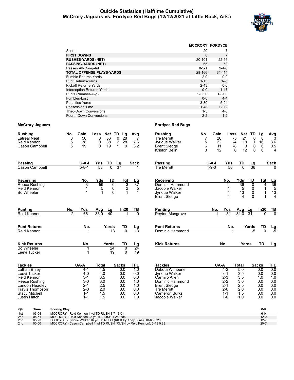#### **Quickie Statistics (Halftime Cumulative) McCrory Jaguars vs. Fordyce Red Bugs (12/12/2021 at Little Rock, Ark.)**



|                                   | <b>MCCRORY FORDYCE</b> |             |
|-----------------------------------|------------------------|-------------|
| Score                             | 20                     |             |
| <b>FIRST DOWNS</b>                | 8                      | 7           |
| <b>RUSHES-YARDS (NET)</b>         | 20-101                 | 22-56       |
| <b>PASSING-YARDS (NET)</b>        | 65                     | 58          |
| Passes Att-Comp-Int               | $8 - 5 - 1$            | $9 - 4 - 0$ |
| TOTAL OFFENSE PLAYS-YARDS         | 28-166                 | $31 - 114$  |
| Fumble Returns-Yards              | $2 - 0$                | $0 - 0$     |
| <b>Punt Returns-Yards</b>         | $1 - 13$               | $1 - 5$     |
| Kickoff Returns-Yards             | $2 - 43$               | $0 - 0$     |
| <b>Interception Returns-Yards</b> | $0 - 0$                | $1 - 17$    |
| Punts (Number-Avg)                | $2 - 33.0$             | $1 - 31.0$  |
| Fumbles-Lost                      | $0 - 0$                | $4 - 4$     |
| Penalties-Yards                   | $3 - 30$               | $5 - 24$    |
| Possession Time                   | 11:48                  | 12:12       |
| <b>Third-Down Conversions</b>     | 1-5                    | $4 - 8$     |
| <b>Fourth-Down Conversions</b>    | $2 - 2$                | $1 - 2$     |

| <b>Rushing</b>        | No. | Gain          | Loss            | <b>Net</b>                           | TD                     | Lg             | Avg             |
|-----------------------|-----|---------------|-----------------|--------------------------------------|------------------------|----------------|-----------------|
| <b>Latreal Neal</b>   | 8   | 56            | 0               | 56                                   | 0                      | 28             | 7               |
| Reid Kennon           | 5   | 38            | 0               | 38                                   | $\overline{2}$         | 28             | 7.6             |
| Cason Campbell        | 6   | 19            | 0               | 19                                   | 1                      | 9              | 3.2             |
|                       |     |               |                 |                                      |                        |                |                 |
| Passing               |     | C-A-I         | Yds             | TD                                   | $\frac{\text{Lg}}{37}$ |                | Sack            |
| Cason Campbell        |     | $5 - 8 - 1$   | $\overline{53}$ | $\overline{0}$                       |                        |                |                 |
| Receiving             |     | No.           | Yds             | <b>TD</b>                            |                        | Tgt            |                 |
| <b>Reece Rushing</b>  |     |               | 59              | 0                                    |                        |                | <u>Lg</u><br>37 |
| Reid Kennon           |     | $\frac{3}{1}$ | 5               |                                      |                        | $\frac{3}{2}$  | $\frac{5}{1}$   |
| Bo Wheeler            |     |               | 1               | $\begin{matrix} 0 \\ 0 \end{matrix}$ |                        |                |                 |
|                       |     |               |                 |                                      |                        |                |                 |
| <b>Punting</b>        | No. | Yds           | Avg             | Lg                                   |                        | ln20           | ТВ              |
| Reid Kennon           | 2   | 66            | 33.0            | 40                                   |                        | 1              | $\overline{0}$  |
| <b>Punt Returns</b>   |     | No.           |                 | Yards                                |                        | TD             |                 |
| Reid Kennon           |     | 1             |                 | 13                                   |                        | U              | <u>Lg</u><br>13 |
|                       |     |               |                 |                                      |                        |                |                 |
| <b>Kick Returns</b>   |     | No.           |                 | Yards                                |                        | TD             | Lg              |
| <b>Bo Wheeler</b>     |     | 1             |                 | $\overline{24}$                      |                        | $\overline{0}$ | $\overline{24}$ |
| Leevi Tucker          |     | 1             |                 | 19                                   |                        | $\Omega$       | 19              |
| <b>Tackles</b>        |     | UA-A          | <b>Total</b>    |                                      | <b>Sacks</b>           |                | TFL             |
| Lathan Briley         |     | 4-1           | 4.5             |                                      | 0.0                    |                | 1.0             |
| Leevi Tucker          |     | $4 - 0$       | 4.0             |                                      | 0.0                    |                | 0.0             |
| <b>Reid Kennon</b>    |     | $3 - 1$       | 3.5             |                                      | 0.0                    |                | 0.0             |
| Reece Rushing         |     | $3-0$         | 3.0             |                                      | 0.0                    |                | 1.0             |
| Landon Headley        |     | $2 - 1$       | 2.5             |                                      | 0.0                    |                | 1.0             |
| Travis Thompson       |     | $2 - 0$       | 2.0             |                                      | 0.0                    |                | 0.0             |
| <b>Stacy Mitchell</b> |     | $1 - 1$       | 1.5             |                                      | 0.0                    |                | 0.0             |
| Justin Hatch          |     | $1 - 1$       | 1.5             |                                      | 0.0                    |                | 1.0             |

| Rushing             | No.         | Gain            | Loss            | <b>Net</b>              | TD     | Lg         | Avg             |
|---------------------|-------------|-----------------|-----------------|-------------------------|--------|------------|-----------------|
| <b>Tre Merritt</b>  | 7           | $\overline{26}$ |                 | $\overline{21}$<br>$-5$ | 0      | 8          | 3               |
| Jyrique Walker      | 5<br>6<br>3 | 22              |                 | 18<br>-4                | 1      | 16         | 3.6             |
| Brent Sledge        |             | 11              |                 | -8                      | 3<br>0 | 6          | 0.5             |
| Kriston Belin       |             | 12              |                 | 12<br>$\mathbf 0$       | 0      | 6          | 4               |
| Passing             |             | C-A-I           | Yds             | TD                      | Lg     |            | <b>Sack</b>     |
| <b>Tre Merritt</b>  |             | $4 - 9 - 0$     | $\overline{58}$ | 0                       | 36     |            | O               |
| Receiving           |             |                 | No.             | Yds                     | TD     | <b>Tgt</b> | Lg              |
| Dominic Hammond     |             |                 | 1               | $\overline{36}$         | 0      | 4          | $\overline{36}$ |
| Jacobie Walker      |             |                 | 1               | 5                       | 0      |            | 5               |
| Jyrique Walker      |             |                 | 1               | 13                      | 0      | 1          | 13              |
| <b>Brent Sledge</b> |             |                 | 1               | 4                       | 0      | 1          | 4               |
| Punting             |             | No.             | Yds             | Avg                     | Lg     | In20       | ΤВ              |
| Peyton Musgrove     |             | 1               | $\overline{31}$ | 31.0                    | 31     | 0          | O               |
| <b>Punt Returns</b> |             |                 | No.             |                         | Yards  | TD         |                 |
| Dominic Hammond     |             |                 | 1               |                         | -5     | $\Omega$   | <u>니영</u>       |
| <b>Kick Returns</b> |             |                 | No.             |                         | Yards  | TD         | Lg              |

| <b>Tackles</b>       | UA-A    | Total | Sacks | TFL |
|----------------------|---------|-------|-------|-----|
| Dakota Wimberle      | $4 - 2$ | 5.0   | 0.0   | 0.0 |
| Jyrique Walker       | $3 - 1$ | 3.5   | 0.0   | 0.0 |
| Carmilo Allen        | $2 - 3$ | 3.5   | 1.0   | 1.0 |
| Dominic Hammond      | $2 - 2$ | 3.0   | 0.0   | 0.0 |
| <b>Brent Sledge</b>  | $2 - 1$ | 2.5   | 0.0   | 0.0 |
| <b>Tre Merritt</b>   | $2 - 0$ | 2.0   | 0.0   | 0.0 |
| <b>Cameron Burks</b> | $1 - 1$ | 1.5   | 0.0   | 0.0 |
| Jacobie Walker       | 1-0     | 1.0   | 0.0   | 0.0 |

| Qtr             | Time  | <b>Scoring Play</b>                                                    | V-H      |
|-----------------|-------|------------------------------------------------------------------------|----------|
| 1st             | 03:04 | MCCRORY - Reid Kennon 1 vd TD RUSH 8-71 3:01                           |          |
| 2 <sub>nd</sub> | 08:51 | MCCRORY - Reid Kennon 28 vd TD RUSH 1-28 0:06                          | $12 - 0$ |
| 2 <sub>nd</sub> | 05:23 | FORDYCE - Jyrique Walker 16 yd TD RUSH (KICK by Andy Luna), 10-63 3:28 | $12 - 7$ |
| 2 <sub>nd</sub> | 00:00 | MCCRORY - Cason Campbell 1 yd TD RUSH (RUSH by Reid Kennon), 3-19 0:28 | $20 - 7$ |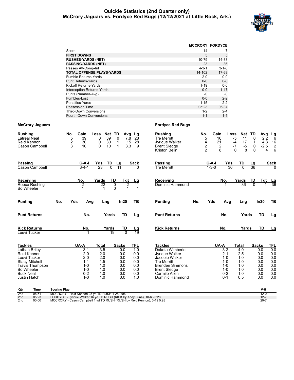#### **Quickie Statistics (2nd Quarter only) McCrory Jaguars vs. Fordyce Red Bugs (12/12/2021 at Little Rock, Ark.)**



|                                   | <b>MCCRORY FORDYCE</b> |             |
|-----------------------------------|------------------------|-------------|
| Score                             | 14                     |             |
| <b>FIRST DOWNS</b>                | 5                      | 5           |
| <b>RUSHES-YARDS (NET)</b>         | 10-79                  | 14-33       |
| <b>PASSING-YARDS (NET)</b>        | 23                     | 36          |
| Passes Att-Comp-Int               | $4 - 3 - 1$            | $3 - 1 - 0$ |
| TOTAL OFFENSE PLAYS-YARDS         | 14-102                 | 17-69       |
| <b>Fumble Returns-Yards</b>       | $2 - 0$                | $0 - 0$     |
| <b>Punt Returns-Yards</b>         | $0 - 0$                | $0 - 0$     |
| Kickoff Returns-Yards             | $1 - 19$               | $0-0$       |
| <b>Interception Returns-Yards</b> | $0 - 0$                | $1 - 17$    |
| Punts (Number-Avg)                | -0                     | -0          |
| Fumbles-Lost                      | $0 - 0$                | $2 - 2$     |
| Penalties-Yards                   | $1 - 15$               | $2 - 2$     |
| Possession Time                   | 05:23                  | 06:37       |
| <b>Third-Down Conversions</b>     | $1 - 2$                | $2 - 4$     |
| <b>Fourth-Down Conversions</b>    | $1 - 1$                | $1 - 1$     |

#### **McCrory Jaguars Fordyce Red Bugs**

| <b>Rushing</b><br><b>Latreal Neal</b><br>Reid Kennon                                                                           | Cason Campbell      | No.<br>5                                                                                                                                   | Gain<br>39<br>$\frac{2}{3}$<br>30<br>10                                              | Loss<br>39<br>0<br>0<br>30<br>10<br>$\Omega$         | Net TD<br>$\mathbf{0}$<br>1<br>1                     | Avg Lg<br>$\overline{28}$<br>7.8<br>15<br>28<br>3.3<br>9           | <b>Rushing</b><br><b>Tre Merritt</b><br>Jyrigue Walker<br><b>Brent Sledge</b><br>Kriston Belin                                                                 | No.<br>5<br>4<br>$\frac{2}{2}$ | Gain<br>16<br>21<br>$\frac{2}{8}$                                                  | Loss<br>$-5$<br>11<br>17<br>$-4$<br>$-7$<br>$-5$<br>8<br>$\Omega$ | Net TD<br>0<br>1<br>0<br>$\Omega$                    | Avg<br>$\frac{Lg}{6}$<br>2.2<br>16<br>4.3<br>$\overline{\mathbf{c}}$<br>$-2.5$<br>6<br>4 |
|--------------------------------------------------------------------------------------------------------------------------------|---------------------|--------------------------------------------------------------------------------------------------------------------------------------------|--------------------------------------------------------------------------------------|------------------------------------------------------|------------------------------------------------------|--------------------------------------------------------------------|----------------------------------------------------------------------------------------------------------------------------------------------------------------|--------------------------------|------------------------------------------------------------------------------------|-------------------------------------------------------------------|------------------------------------------------------|------------------------------------------------------------------------------------------|
| Passing                                                                                                                        | Cason Campbell      |                                                                                                                                            | $C-A-I$<br>$3 - 4 - 1$                                                               | Yds<br>TD<br>23<br>$\overline{0}$                    | Lg<br>$\overline{11}$                                | <b>Sack</b>                                                        | Passing<br><b>Tre Merritt</b>                                                                                                                                  |                                | $C-A-I$<br>Yds<br>$1 - 3 - 0$                                                      | TD<br>$\overline{0}$<br>36                                        | <u>Lg</u><br>36                                      | <b>Sack</b>                                                                              |
| Receiving<br><b>Bo Wheeler</b>                                                                                                 | Reece Rushing       |                                                                                                                                            | No.<br>$\overline{2}$                                                                | Yards<br>22<br>1                                     | TD<br>0<br>$\Omega$                                  | Tgt<br>Lg<br>$\overline{2}$<br>$\overline{11}$<br>1<br>$\mathbf 1$ | <b>Receiving</b><br>Dominic Hammond                                                                                                                            |                                | No.                                                                                | Yards<br>36                                                       | TD<br>$\overline{0}$                                 | Tgt<br>$\frac{\text{Lg}}{36}$                                                            |
| <b>Punting</b>                                                                                                                 |                     | No.                                                                                                                                        | Yds<br>Avg                                                                           | Lng                                                  | In20                                                 | TВ                                                                 | <b>Punting</b>                                                                                                                                                 | No.                            | Yds<br>Avg                                                                         | Lng                                                               | In20                                                 | TВ                                                                                       |
|                                                                                                                                | <b>Punt Returns</b> |                                                                                                                                            | No.                                                                                  | Yards                                                | TD                                                   | Lg                                                                 | <b>Punt Returns</b>                                                                                                                                            |                                | No.                                                                                | Yards                                                             | TD                                                   | Lg                                                                                       |
| <b>Kick Returns</b><br>Leevi Tucker                                                                                            |                     |                                                                                                                                            | No.                                                                                  | Yards                                                | TD<br>19                                             | <u>Lg</u><br>19<br>$\overline{0}$                                  | <b>Kick Returns</b>                                                                                                                                            |                                | No.                                                                                | Yards                                                             | <b>TD</b>                                            | Lg                                                                                       |
| <b>Tackles</b>                                                                                                                 |                     |                                                                                                                                            | UA-A                                                                                 | <b>Total</b>                                         | <b>Sacks</b>                                         | <b>TFL</b>                                                         | <b>Tackles</b>                                                                                                                                                 |                                | UA-A                                                                               | <b>Total</b>                                                      | <b>Sacks</b>                                         | TFL                                                                                      |
| Lathan Briley<br>Reid Kennon<br>Leevi Tucker<br><b>Stacy Mitchell</b><br><b>Bo Wheeler</b><br><b>Buck Neal</b><br>Justin Hatch | Travis Thompson     |                                                                                                                                            | $3 - 1$<br>$2 - 0$<br>$2 - 0$<br>$1 - 1$<br>$1 - 0$<br>$1 - 0$<br>$0 - 2$<br>$1 - 0$ | 3.5<br>2.0<br>2.0<br>1.5<br>1.0<br>1.0<br>1.0<br>1.0 | 0.0<br>0.0<br>0.0<br>0.0<br>0.0<br>0.0<br>0.0<br>0.0 | 1.0<br>0.0<br>0.0<br>0.0<br>0.0<br>0.0<br>0.0<br>1.0               | Dakota Wimberle<br>Jyrigue Walker<br>Jacobie Walker<br><b>Tre Merritt</b><br><b>Brenden Simmons</b><br><b>Brent Sledge</b><br>Carmilo Allen<br>Dominic Hammond |                                | $3-2$<br>$2 - 1$<br>$1 - 0$<br>$1 - 0$<br>$1 - 0$<br>$1 - 0$<br>$0 - 2$<br>$0 - 1$ | 4.0<br>2.5<br>1.0<br>1.0<br>1.0<br>1.0<br>1.0<br>0.5              | 0.0<br>0.0<br>0.0<br>0.0<br>0.0<br>0.0<br>0.0<br>0.0 | 0.0<br>0.0<br>0.0<br>0.0<br>0.0<br>0.0<br>0.0<br>0.0                                     |
| Qtr<br>2nd                                                                                                                     | Time<br>08:51       | <b>Scoring Play</b><br>MCCRORY - Reid Kennon 28 yd TD RUSH 1-28 0:06<br>EODDVCE brigue Walker 16 vd TD DUCH (KICK by Andy Lung) 10.63.3:29 |                                                                                      |                                                      |                                                      |                                                                    |                                                                                                                                                                |                                |                                                                                    |                                                                   |                                                      | V-H<br>$12 - 0$<br>127                                                                   |

2nd 05:23 FORDYCE - Jyrique Walker 16 yd TD RUSH (KICK by Andy Luna), 10-63 3:28<br>2nd 00:00 MCCRORY - Cason Campbell 1 yd TD RUSH (RUSH by Reid Kennon), 3-19 0:28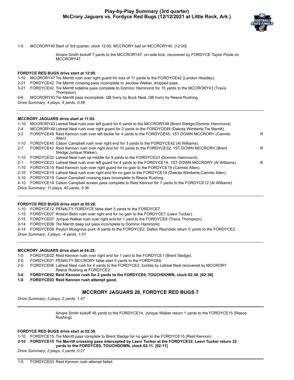

1-0 MCCRORY40 Start of 3rd quarter, clock 12:00, MCCRORY ball on MCCRORY40. [12:00]

Amare Smith kickoff 7 yards to the MCCRORY47, on-side kick, recovered by FORDYCE Taylor Poole on MCCRORY47.

#### **FORDYCE RED BUGS drive start at 12:00.**

- 1-10 MCCRORY47 Tre Merritt rush over right guard for loss of 11 yards to the FORDYCE42 (Landon Headley).
- 2-21 FORDYCE42 Tre Merritt crossing pass incomplete to Jacobie Walker, dropped pass.
- 3-21 FORDYCE42 Tre Merritt sideline pass complete to Dominic Hammond for 15 yards to the MCCRORY43 (Travis Thompson).
- 4-6 MCCRORY43 Tre Merritt pass incomplete, QB hurry by Buck Neal, QB hurry by Reece Rushing.
- *Drive Summary: 4 plays, 4 yards, 0:58*

#### **MCCRORY JAGUARS drive start at 11:02.**

- 1-10 MCCRORY43 Latreal Neal rush over left guard for 6 yards to the MCCRORY49 (Brent Sledge;Dominic Hammond).
- 2-4 MCCRORY49 Latreal Neal rush over right guard for 2 yards to the FORDYCF49 (Dakota Wimberle; Tre Merritt).

| $3-2$   | FORDYCE49 Reid Kennon rush over left tackle for 4 yards to the FORDYCE45, 1ST DOWN MCCRORY (Carmilo<br>Allen).               | R |
|---------|------------------------------------------------------------------------------------------------------------------------------|---|
| 1-10    | FORDYCE45 Cason Campbell rush over right end for 3 yards to the FORDYCE42 (AI Williams).                                     |   |
| $2 - 7$ | FORDYCE42 Reid Kennon rush over right end for 10 yards to the FORDYCE32, 1ST DOWN MCCRORY (Brent<br>Sledge; Jyrigue Walker). | R |
|         | 1-10 FORDYCE32 Latreal Neal rush up middle for 9 yards to the FORDYCE23 (Dominic Hammond).                                   |   |
| $2 - 1$ | FORDYCE23 Latreal Neal rush over left guard for 4 yards to the FORDYCE19, 1ST DOWN MCCRORY (AI Williams).                    | R |
| 1-10    | FORDYCE19 Reid Kennon rush over right guard for no gain to the FORDYCE19 (Carmilo Allen).                                    |   |
| 2-10    | FORDYCE19 Latreal Neal rush over right end for no gain to the FORDYCE19 (Dakota Wimberle;Carmilo Allen).                     |   |
|         |                                                                                                                              |   |

3-10 FORDYCE19 Cason Campbell crossing pass incomplete to Reece Rushing.

4-10 FORDYCE19 Cason Campbell screen pass complete to Reid Kennon for 7 yards to the FORDYCE12 (Al Williams).

*Drive Summary: 11 plays, 45 yards, 5:36*

#### **FORDYCE RED BUGS drive start at 05:26.**

1-10 FORDYCE12 PENALTY FORDYCE false start 5 yards to the FORDYCE7.

- 1-15 FORDYCE07 Kriston Belin rush over right end for no gain to the FORDYCE7 (Leevi Tucker).
- 2-15 FORDYCE07 Jyrique Walker rush over right end for 1 yard to the FORDYCE8 (Travis Thompson).
- 3-14 FORDYCE08 Tre Merritt deep out pass incomplete to Dominic Hammond.

4-14 FORDYCE08 Peyton Musgrove punt -6 yards to the FORDYCE2, Dalton Reynolds return 0 yards to the FORDYCE2.

*Drive Summary: 3 plays, -4 yards, 1:01*

#### **MCCRORY JAGUARS drive start at 04:25.**

- 1-0 FORDYCE02 Reid Kennon rush over right end for 1 yard to the FORDYCE1 (Brent Sledge).
- 2-0 FORDYCE01 PENALTY MCCRORY false start 5 yards to the FORDYCE6.
- 2-0 FORDYCE06 Latreal Neal rush for 4 yards to the FORDYCE2, fumble by Latreal Neal recovered by MCCRORY Reece Rushing at FORDYCE2.
- **3-0 FORDYCE02 Reid Kennon rush for 2 yards to the FORDYCE0, TOUCHDOWN, clock 02:38. [02:38]**
- **1-0 FORDYCE03 Reid Kennon rush attempt good.**

#### **MCCRORY JAGUARS 28, FORDYCE RED BUGS 7**

*Drive Summary: 3 plays, 2 yards, 1:47*

Amare Smith kickoff 46 yards to the FORDYCE14, Jyrique Walker return 1 yards to the FORDYCE15 (Reece Rushing).

#### **FORDYCE RED BUGS drive start at 02:38.**

1-10 FORDYCE15 Tre Merritt pass complete to Brent Sledge for no gain to the FORDYCE15 (Reid Kennon).

**2-10 FORDYCE15 Tre Merritt crossing pass intercepted by Leevi Tucker at the FORDYCE32, Leevi Tucker return 32 yards to the FORDYCE0, TOUCHDOWN, clock 02:11. [02:11]**

*Drive Summary: 2 plays, 0 yards, 0:27*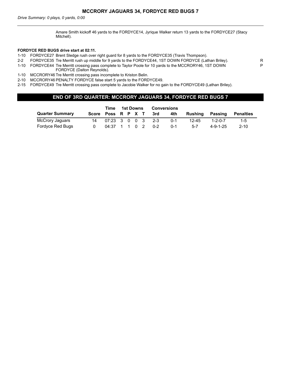Amare Smith kickoff 46 yards to the FORDYCE14, Jyrique Walker return 13 yards to the FORDYCE27 (Stacy Mitchell).

P

#### **FORDYCE RED BUGS drive start at 02:11.**

- 1-10 FORDYCE27 Brent Sledge rush over right guard for 8 yards to the FORDYCE35 (Travis Thompson).
- 2-2 FORDYCE35 Tre Merritt rush up middle for 9 yards to the FORDYCE44, 1ST DOWN FORDYCE (Lathan Briley). R
- 1-10 FORDYCE44 Tre Merritt crossing pass complete to Taylor Poole for 10 yards to the MCCRORY46, 1ST DOWN FORDYCE (Dalton Reynolds).
- 1-10 MCCRORY46 Tre Merritt crossing pass incomplete to Kriston Belin.
- 2-10 MCCRORY46 PENALTY FORDYCE false start 5 yards to the FORDYCE49.
- 2-15 FORDYCE49 Tre Merritt crossing pass complete to Jacobie Walker for no gain to the FORDYCE49 (Lathan Briley).

#### **END OF 3RD QUARTER: MCCRORY JAGUARS 34, FORDYCE RED BUGS 7**

|                        |                    | Time                                              | 1st Downs |  |  |         | <b>Conversions</b> |           |                  |                  |
|------------------------|--------------------|---------------------------------------------------|-----------|--|--|---------|--------------------|-----------|------------------|------------------|
| <b>Quarter Summary</b> | Score Poss R P X T |                                                   |           |  |  | 3rd     | 4th                | Rushing   | Passing          | <b>Penalties</b> |
| McCrory Jaguars        | 14                 | $07:23 \quad 3 \quad 0 \quad 0 \quad 3 \quad 2-3$ |           |  |  |         | $0 - 1$            | $12 - 45$ | $1 - 2 - 0 - 7$  | $1 - 5$          |
| Fordyce Red Bugs       |                    | $04:37$ 1 1 0 2                                   |           |  |  | $0 - 2$ | $0 - 1$            | $5-7$     | $4 - 9 - 1 - 25$ | $2 - 10$         |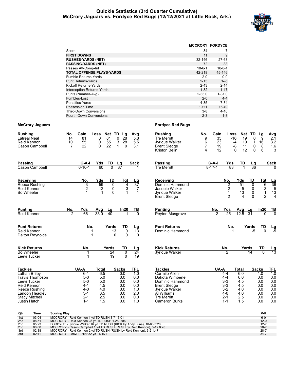#### **Quickie Statistics (3rd Quarter Cumulative) McCrory Jaguars vs. Fordyce Red Bugs (12/12/2021 at Little Rock, Ark.)**



|                                   | <b>MCCRORY FORDYCE</b> |              |
|-----------------------------------|------------------------|--------------|
| Score                             | 34                     |              |
| <b>FIRST DOWNS</b>                | 11                     | 9            |
| <b>RUSHES-YARDS (NET)</b>         | 32-146                 | 27-63        |
| <b>PASSING-YARDS (NET)</b>        | 72                     | 83           |
| Passes Att-Comp-Int               | $10 - 6 - 1$           | $18 - 8 - 1$ |
| <b>TOTAL OFFENSE PLAYS-YARDS</b>  | 42-218                 | 45-146       |
| <b>Fumble Returns-Yards</b>       | $2 - 0$                | $0-0$        |
| <b>Punt Returns-Yards</b>         | $2 - 13$               | $1 - 5$      |
| Kickoff Returns-Yards             | $2 - 43$               | $2 - 14$     |
| <b>Interception Returns-Yards</b> | $1 - 32$               | $1 - 17$     |
| Punts (Number-Avg)                | $2 - 33.0$             | $1 - 31.0$   |
| Fumbles-Lost                      | $2 - 0$                | $4 - 4$      |
| Penalties-Yards                   | $4 - 35$               | $7 - 34$     |
| Possession Time                   | 19:11                  | 16:49        |
| <b>Third-Down Conversions</b>     | $3 - 8$                | $4 - 10$     |
| <b>Fourth-Down Conversions</b>    | $2 - 3$                | $1 - 3$      |

| <b>Rushing</b>                                                                                                                                     | No.                                                                                                                                                                                                                                                                                                                                                            | Gain                                                                             | Loss                                                 | Net<br>TD                                     | Lg                                                   | Avg                                                               | <b>Rushing</b>                                                                                                                                            | No.                           | Gain                              | Loss                                                                               | <b>Net</b>                                           | TD                                   | Lg                                                                  | Avg                                                  |
|----------------------------------------------------------------------------------------------------------------------------------------------------|----------------------------------------------------------------------------------------------------------------------------------------------------------------------------------------------------------------------------------------------------------------------------------------------------------------------------------------------------------------|----------------------------------------------------------------------------------|------------------------------------------------------|-----------------------------------------------|------------------------------------------------------|-------------------------------------------------------------------|-----------------------------------------------------------------------------------------------------------------------------------------------------------|-------------------------------|-----------------------------------|------------------------------------------------------------------------------------|------------------------------------------------------|--------------------------------------|---------------------------------------------------------------------|------------------------------------------------------|
| Latreal Neal<br>Reid Kennon<br>Cason Campbell                                                                                                      | 14<br>10<br>$\overline{7}$                                                                                                                                                                                                                                                                                                                                     | 81<br>55<br>22                                                                   | 0<br>0<br>0                                          | 81<br>0<br>55<br>3<br>22<br>$\mathbf{1}$      | 28<br>28<br>9                                        | $\overline{5.8}$<br>5.5<br>3.1                                    | <b>Tre Merritt</b><br>Jyrique Walker<br>Brent Sledge<br>Kriston Belin                                                                                     | 9<br>6<br>$\overline{7}$<br>4 | $\overline{35}$<br>23<br>19<br>12 | $-16$<br>$-4$<br>-8                                                                | 19<br>19<br>11<br>12<br>0                            | 0<br>1<br>0<br>0                     | 9<br>16<br>8<br>6                                                   | 2.1<br>3.2<br>1.6<br>3                               |
| <b>Passing</b><br>Cason Campbell                                                                                                                   |                                                                                                                                                                                                                                                                                                                                                                | C-A-I<br>$6 - 10 - 1$                                                            | Yds<br>60                                            | TD<br>Lg<br>$\overline{0}$<br>$\overline{37}$ |                                                      | Sack                                                              | Passing<br><b>Tre Merritt</b>                                                                                                                             |                               | C-A-I<br>$8 - 17 - 1$             | Yds<br>83                                                                          | TD                                                   | Lg<br>36                             |                                                                     | <b>Sack</b>                                          |
| <b>Receiving</b><br>Reece Rushing<br>Reid Kennon<br>Bo Wheeler                                                                                     |                                                                                                                                                                                                                                                                                                                                                                | No.<br>3<br>2<br>1                                                               | Yds<br>59<br>12<br>1                                 | TD<br>0<br>0<br>$\Omega$                      | Tgt<br>4<br>3<br>1                                   | Lg<br>$\overline{37}$<br>7<br>$\mathbf{1}$                        | Receiving<br>Dominic Hammond<br>Jacobie Walker<br>Jyrique Walker<br><b>Brent Sledge</b>                                                                   |                               |                                   | No.<br>$\overline{2}$<br>$\overline{2}$<br>$\mathbf{1}$<br>$\overline{2}$          | Yds<br>51<br>5<br>13<br>4                            | TD<br>$\Omega$<br>0<br>0<br>$\Omega$ | Tgt<br>$6\overline{6}$<br>$\frac{3}{1}$<br>$\overline{2}$           | $\frac{Lg}{36}$<br>5<br>$1\bar{3}$<br>$\overline{4}$ |
| <b>Punting</b><br>Reid Kennon                                                                                                                      | No.<br>$\overline{2}$                                                                                                                                                                                                                                                                                                                                          | Yds<br>66                                                                        | Avg<br>33.0                                          | Lg<br>40                                      | In20                                                 | TВ<br>$\overline{0}$                                              | Punting<br>Peyton Musgrove                                                                                                                                |                               | No.<br>$\overline{2}$             | Yds<br>25                                                                          | Avg<br>12.5                                          | Lg<br>31                             | In20<br>$\Omega$                                                    | TB<br>$\overline{0}$                                 |
| <b>Punt Returns</b><br>Reid Kennon<br>Dalton Reynolds                                                                                              |                                                                                                                                                                                                                                                                                                                                                                | No.<br>1                                                                         |                                                      | Yards<br>$\overline{13}$<br>0                 | TD<br>$\mathbf{0}$<br>0                              | Lg<br>$\overline{13}$<br>0                                        | <b>Punt Returns</b><br>Dominic Hammond                                                                                                                    |                               |                                   | No.                                                                                |                                                      | Yards<br>-5                          | TD<br>U                                                             | $\frac{\text{Lg}}{\text{-5}}$                        |
| <b>Kick Returns</b><br><b>Bo Wheeler</b><br>Leevi Tucker                                                                                           |                                                                                                                                                                                                                                                                                                                                                                | No.<br>1<br>$\mathbf 1$                                                          |                                                      | Yards<br>24<br>19                             | TD<br>$\overline{0}$<br>$\Omega$                     | Lg<br>$\overline{24}$<br>19                                       | <b>Kick Returns</b><br><b>Jyrique Walker</b>                                                                                                              |                               |                                   | No.<br>2                                                                           |                                                      | Yards<br>14                          | TD<br>$\overline{0}$                                                | $\frac{\text{Lg}}{13}$                               |
| <b>Tackles</b>                                                                                                                                     |                                                                                                                                                                                                                                                                                                                                                                | UA-A                                                                             | Total                                                | Sacks                                         |                                                      | TFL                                                               | <b>Tackles</b>                                                                                                                                            |                               | UA-A                              |                                                                                    | Total                                                |                                      | <b>Sacks</b>                                                        | <b>TFL</b>                                           |
| Lathan Briley<br><b>Travis Thompson</b><br>Leevi Tucker<br>Reid Kennon<br>Reece Rushing<br>Landon Headley<br><b>Stacy Mitchell</b><br>Justin Hatch |                                                                                                                                                                                                                                                                                                                                                                | $6 - 1$<br>$5-0$<br>$5-0$<br>$4 - 1$<br>$4 - 0$<br>$3 - 1$<br>$2 - 1$<br>$1 - 1$ | 6.5<br>5.0<br>5.0<br>4.5<br>4.0<br>3.5<br>2.5<br>1.5 |                                               | 0.0<br>0.0<br>0.0<br>0.0<br>0.0<br>0.0<br>0.0<br>0.0 | $\overline{1.0}$<br>0.0<br>0.0<br>0.0<br>1.0<br>2.0<br>0.0<br>1.0 | Carmilo Allen<br>Dakota Wimberle<br>Dominic Hammond<br><b>Brent Sledge</b><br>Jyrique Walker<br>Al Williams<br><b>Tre Merritt</b><br><b>Cameron Burks</b> |                               |                                   | $4 - 4$<br>$4 - 4$<br>$3-3$<br>$3 - 3$<br>$3 - 2$<br>$4 - 0$<br>$2 - 1$<br>$1 - 1$ | 6.0<br>6.0<br>4.5<br>4.5<br>4.0<br>4.0<br>2.5<br>1.5 |                                      | 1.0<br>0.0<br>0.0<br>0.0<br>0.0<br>0.0<br>0.0<br>0.0                | 1.0<br>0.0<br>0.0<br>0.0<br>0.0<br>0.0<br>0.0<br>0.0 |
| Qtr<br>Time                                                                                                                                        | <b>Scoring Play</b>                                                                                                                                                                                                                                                                                                                                            |                                                                                  |                                                      |                                               |                                                      |                                                                   |                                                                                                                                                           |                               |                                   |                                                                                    |                                                      |                                      | V-H                                                                 |                                                      |
| 03:04<br>1st<br>08:51<br>2 <sub>nd</sub><br>05:23<br>2 <sub>nd</sub><br>00:00<br>2 <sub>nd</sub><br>3rd<br>02:38<br>02:11<br>3rd                   | MCCRORY - Reid Kennon 1 yd TD RUSH 8-71 3:01<br>MCCRORY - Reid Kennon 28 yd TD RUSH 1-28 0:06<br>FORDYCE - Jyrique Walker 16 yd TD RUSH (KICK by Andy Luna), 10-63 3:28<br>MCCRORY - Cason Campbell 1 yd TD RUSH (RUSH by Reid Kennon), 3-19 0:28<br>MCCRORY - Reid Kennon 2 yd TD RUSH (RUSH by Reid Kennon), 3-2 1:47<br>MCCRORY - Leevi Tucker 32 yd TD INT |                                                                                  |                                                      |                                               |                                                      |                                                                   |                                                                                                                                                           |                               |                                   |                                                                                    |                                                      |                                      | $6 - 0$<br>$12 - 0$<br>$12 - 7$<br>$20 - 7$<br>$28 - 7$<br>$34 - 7$ |                                                      |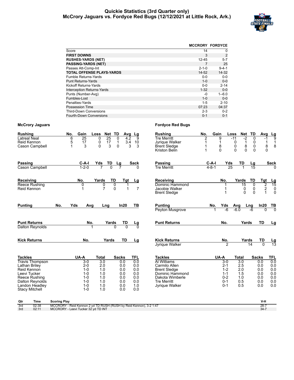#### **Quickie Statistics (3rd Quarter only) McCrory Jaguars vs. Fordyce Red Bugs (12/12/2021 at Little Rock, Ark.)**



|                                   | <b>MCCRORY FORDYCE</b> |             |
|-----------------------------------|------------------------|-------------|
| Score                             | 14                     | 0           |
| <b>FIRST DOWNS</b>                | 3                      | 2           |
| <b>RUSHES-YARDS (NET)</b>         | 12-45                  | $5 - 7$     |
| <b>PASSING-YARDS (NET)</b>        | 7                      | 25          |
| Passes Att-Comp-Int               | $2 - 1 - 0$            | $9 - 4 - 1$ |
| <b>TOTAL OFFENSE PLAYS-YARDS</b>  | $14 - 52$              | $14 - 32$   |
| <b>Fumble Returns-Yards</b>       | $0 - 0$                | $0 - 0$     |
| <b>Punt Returns-Yards</b>         | $1 - 0$                | $0 - 0$     |
| Kickoff Returns-Yards             | $0 - 0$                | $2 - 14$    |
| <b>Interception Returns-Yards</b> | $1 - 32$               | $0 - 0$     |
| Punts (Number-Avg)                | -0                     | $1 - 6.0$   |
| Fumbles-Lost                      | $1 - 0$                | $0 - 0$     |
| Penalties-Yards                   | $1 - 5$                | $2 - 10$    |
| <b>Possession Time</b>            | 07:23                  | 04:37       |
| <b>Third-Down Conversions</b>     | $2 - 3$                | $0 - 2$     |
| Fourth-Down Conversions           | $0 - 1$                | $0 - 1$     |

| <b>Rushing</b><br><b>Latreal Neal</b><br>Reid Kennon<br>Cason Campbell                                                                                                  |                     | No.<br>Gain<br>6<br>25<br>5<br>17<br>3<br>1                                                               | Loss<br>25<br>0<br>17<br>0<br>3<br>0                                 | Net TD<br>Avg<br>0<br>4.2<br>$\mathbf{1}$<br>$\frac{3.4}{3}$<br>0    | Lg<br>9<br>10<br>3                                                 | <b>Rushing</b><br><b>Tre Merritt</b><br>Jyrique Walker<br>Brent Sledge<br>Kriston Belin                                                             | Gain<br>No.<br>2<br>1<br>1<br>1 | 9<br>1<br>8<br>$\Omega$                                                         | Loss<br>Net<br>$-11$<br>$-2$<br>$\mathbf{1}$<br>0<br>8<br>0<br>$\Omega$<br>$\Omega$ | TD<br>$\Omega$<br>0<br>0<br>$\Omega$      | Avg<br>-1<br>$\mathbf{1}$<br>8<br>$\Omega$                    | $\frac{Lg}{9}$<br>1<br>8                                    |
|-------------------------------------------------------------------------------------------------------------------------------------------------------------------------|---------------------|-----------------------------------------------------------------------------------------------------------|----------------------------------------------------------------------|----------------------------------------------------------------------|--------------------------------------------------------------------|-----------------------------------------------------------------------------------------------------------------------------------------------------|---------------------------------|---------------------------------------------------------------------------------|-------------------------------------------------------------------------------------|-------------------------------------------|---------------------------------------------------------------|-------------------------------------------------------------|
| <b>Passing</b><br>Cason Campbell                                                                                                                                        |                     | $C-A-I$<br>$1 - 2 - 0$                                                                                    | Yds<br>TD                                                            | Lg                                                                   | Sack                                                               | Passing<br><b>Tre Merritt</b>                                                                                                                       | $C-A-I$<br>$4 - 8 - 1$          | Yds<br>25                                                                       | TD                                                                                  | <u>Lg</u>                                 |                                                               | <b>Sack</b>                                                 |
| Receiving<br>Reece Rushing<br>Reid Kennon                                                                                                                               |                     | No.<br>0                                                                                                  | Yards<br>0<br>$\overline{7}$                                         | TD<br>Tgt<br>$\overline{0}$<br>$\Omega$                              | <u>Lg</u><br>$\overline{7}$                                        | Receiving<br>Dominic Hammond<br>Jacobie Walker<br><b>Brent Sledge</b>                                                                               |                                 | No.<br>1<br>1<br>1                                                              | Yards<br>15<br>0<br>$\mathbf{0}$                                                    | TD<br>$\overline{0}$<br>0<br>$\mathbf{0}$ | Tgt<br>$\overline{c}$<br>$\frac{2}{1}$                        | $\frac{Lg}{15}$<br>0<br>$\mathbf 0$                         |
| <b>Punting</b>                                                                                                                                                          | No.                 | Yds<br>Avg                                                                                                | Lng                                                                  | In20                                                                 | TB                                                                 | <b>Punting</b><br>Peyton Musgrove                                                                                                                   | No.                             | Yds<br>-6                                                                       | Avg<br>$-6.0$                                                                       | Lng<br>$-6$                               | In20<br>$\overline{0}$                                        | $\frac{TB}{0}$                                              |
| <b>Punt Returns</b><br>Dalton Reynolds                                                                                                                                  |                     | No.                                                                                                       |                                                                      | Yards<br>TD<br>$\Omega$<br>$\Omega$                                  | <u>Lg</u><br>$\Omega$                                              | <b>Punt Returns</b>                                                                                                                                 |                                 | No.                                                                             | Yards                                                                               |                                           | TD                                                            | Lg                                                          |
| <b>Kick Returns</b>                                                                                                                                                     |                     | No.                                                                                                       | Yards                                                                | TD                                                                   | Lg                                                                 | <b>Kick Returns</b><br><b>Jyrique Walker</b>                                                                                                        |                                 | No.<br>$\overline{2}$                                                           | Yards                                                                               | 14                                        | TD<br>$\overline{0}$                                          | $\frac{\text{Lg}}{13}$                                      |
| <b>Tackles</b><br><b>Travis Thompson</b><br>Lathan Briley<br>Reid Kennon<br>Leevi Tucker<br>Reece Rushing<br>Dalton Reynolds<br>Landon Headley<br><b>Stacy Mitchell</b> |                     | UA-A<br>$3-0$<br>$2 - 0$<br>$1 - 0$<br>$1 - 0$<br>$1 - 0$<br>$1 - 0$<br>$1 - 0$<br>$1 - 0$                | <b>Total</b><br>3.0<br>2.0<br>1.0<br>1.0<br>1.0<br>1.0<br>1.0<br>1.0 | <b>Sacks</b><br>0.0<br>0.0<br>0.0<br>0.0<br>0.0<br>0.0<br>0.0<br>0.0 | <b>TFL</b><br>0.0<br>0.0<br>0.0<br>0.0<br>0.0<br>0.0<br>1.0<br>0.0 | <b>Tackles</b><br>Al Williams<br>Carmilo Allen<br><b>Brent Sledge</b><br>Dominic Hammond<br>Dakota Wimberle<br><b>Tre Merritt</b><br>Jyrique Walker |                                 | UA-A<br>$3-0$<br>$2 - 1$<br>$1 - 2$<br>$1 - 1$<br>$0 - 2$<br>$0 - 1$<br>$0 - 1$ | <b>Total</b><br>3.0<br>2.5<br>2.0<br>1.5<br>1.0<br>0.5<br>0.5                       |                                           | <b>Sacks</b><br>0.0<br>0.0<br>0.0<br>0.0<br>0.0<br>0.0<br>0.0 | <b>TFL</b><br>0.0<br>0.0<br>0.0<br>0.0<br>0.0<br>0.0<br>0.0 |
| <b>Time</b><br>Qtr<br>3rd<br>02:38<br>02:11<br>3rd                                                                                                                      | <b>Scoring Play</b> | MCCRORY - Reid Kennon 2 yd TD RUSH (RUSH by Reid Kennon), 3-2 1:47<br>MCCRORY - Leevi Tucker 32 yd TD INT |                                                                      |                                                                      |                                                                    |                                                                                                                                                     |                                 |                                                                                 |                                                                                     |                                           | V-H<br>$28 - 7$<br>$34 - 7$                                   |                                                             |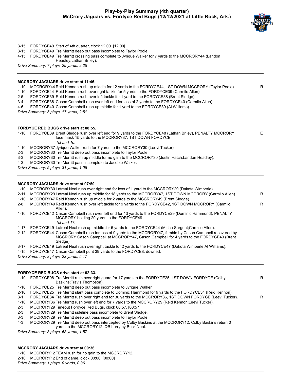

| 3-15<br>3-15<br>4-15 | FORDYCE49 Start of 4th quarter, clock 12:00. [12:00]<br>FORDYCE49 Tre Merritt deep out pass incomplete to Taylor Poole.<br>FORDYCE49 Tre Merritt crossing pass complete to Jyrique Walker for 7 yards to the MCCRORY44 (Landon<br>Headley; Lathan Briley).<br>Drive Summary: 7 plays, 29 yards, 2:25 |   |  |  |  |  |  |  |  |  |  |  |
|----------------------|------------------------------------------------------------------------------------------------------------------------------------------------------------------------------------------------------------------------------------------------------------------------------------------------------|---|--|--|--|--|--|--|--|--|--|--|
|                      |                                                                                                                                                                                                                                                                                                      |   |  |  |  |  |  |  |  |  |  |  |
|                      | <b>MCCRORY JAGUARS drive start at 11:46.</b>                                                                                                                                                                                                                                                         |   |  |  |  |  |  |  |  |  |  |  |
| $1 - 10$<br>$1 - 10$ | MCCRORY44 Reid Kennon rush up middle for 12 yards to the FORDYCE44, 1ST DOWN MCCRORY (Taylor Poole).<br>FORDYCE44 Reid Kennon rush over right tackle for 5 yards to the FORDYCE39 (Carmilo Allen).                                                                                                   | R |  |  |  |  |  |  |  |  |  |  |
| $2 - 5$              | FORDYCE39 Reid Kennon rush over left tackle for 1 yard to the FORDYCE38 (Brent Sledge).                                                                                                                                                                                                              |   |  |  |  |  |  |  |  |  |  |  |
| 3-4                  | FORDYCE38 Cason Campbell rush over left end for loss of 2 yards to the FORDYCE40 (Carmilo Allen).                                                                                                                                                                                                    |   |  |  |  |  |  |  |  |  |  |  |
| 4-6                  | FORDYCE40 Cason Campbell rush up middle for 1 yard to the FORDYCE39 (Al Williams).                                                                                                                                                                                                                   |   |  |  |  |  |  |  |  |  |  |  |
|                      | Drive Summary: 5 plays, 17 yards, 2:51                                                                                                                                                                                                                                                               |   |  |  |  |  |  |  |  |  |  |  |
|                      | <b>FORDYCE RED BUGS drive start at 08:55.</b>                                                                                                                                                                                                                                                        |   |  |  |  |  |  |  |  |  |  |  |
|                      | 1-10 FORDYCE39 Brent Sledge rush over left end for 9 yards to the FORDYCE48 (Lathan Briley), PENALTY MCCRORY<br>face mask 15 yards to the MCCRORY37, 1ST DOWN FORDYCE.                                                                                                                               | Е |  |  |  |  |  |  |  |  |  |  |
|                      | 1st and 10.                                                                                                                                                                                                                                                                                          |   |  |  |  |  |  |  |  |  |  |  |
| $1 - 10$             | MCCRORY37 Jyrique Walker rush for 7 yards to the MCCRORY30 (Leevi Tucker).                                                                                                                                                                                                                           |   |  |  |  |  |  |  |  |  |  |  |
| 2-3<br>3-3           | MCCRORY30 Tre Merritt deep out pass incomplete to Taylor Poole.<br>MCCRORY30 Tre Merritt rush up middle for no gain to the MCCRORY30 (Justin Hatch;Landon Headley).                                                                                                                                  |   |  |  |  |  |  |  |  |  |  |  |
| 4-3                  | MCCRORY30 Tre Merritt pass incomplete to Jacobie Walker.                                                                                                                                                                                                                                             |   |  |  |  |  |  |  |  |  |  |  |
|                      | Drive Summary: 5 plays, 31 yards, 1:05                                                                                                                                                                                                                                                               |   |  |  |  |  |  |  |  |  |  |  |
|                      |                                                                                                                                                                                                                                                                                                      |   |  |  |  |  |  |  |  |  |  |  |
|                      | <b>MCCRORY JAGUARS drive start at 07:50.</b>                                                                                                                                                                                                                                                         |   |  |  |  |  |  |  |  |  |  |  |
| $1 - 10$             | MCCRORY30 Latreal Neal rush over right end for loss of 1 yard to the MCCRORY29 (Dakota Wimberle).                                                                                                                                                                                                    |   |  |  |  |  |  |  |  |  |  |  |
| 2-11                 | MCCRORY29 Latreal Neal rush up middle for 18 yards to the MCCRORY47, 1ST DOWN MCCRORY (Carmilo Allen).                                                                                                                                                                                               | R |  |  |  |  |  |  |  |  |  |  |
| $1 - 10$             | MCCRORY47 Reid Kennon rush up middle for 2 yards to the MCCRORY49 (Brent Sledge).                                                                                                                                                                                                                    |   |  |  |  |  |  |  |  |  |  |  |
| 2-8                  | MCCRORY49 Reid Kennon rush over left tackle for 9 yards to the FORDYCE42, 1ST DOWN MCCRORY (Carmilo<br>Allen).                                                                                                                                                                                       | R |  |  |  |  |  |  |  |  |  |  |
| $1 - 10$             | FORDYCE42 Cason Campbell rush over left end for 13 yards to the FORDYCE29 (Dominic Hammond), PENALTY<br>MCCRORY holding 20 yards to the FORDYCE49.<br>1st and 17.                                                                                                                                    |   |  |  |  |  |  |  |  |  |  |  |
| $1 - 17$             | FORDYCE49 Latreal Neal rush up middle for 5 yards to the FORDYCE44 (Micha Sargent;Carmilo Allen).                                                                                                                                                                                                    |   |  |  |  |  |  |  |  |  |  |  |
| 2-12                 | FORDYCE44 Cason Campbell rush for loss of 9 yards to the MCCRORY47, fumble by Cason Campbell recovered by<br>MCCRORY Cason Campbell at MCCRORY47, Cason Campbell for 4 yards to the FORDYCE49 (Brent<br>Sledge).                                                                                     |   |  |  |  |  |  |  |  |  |  |  |
| 3-17                 | FORDYCE49 Latreal Neal rush over right tackle for 2 yards to the FORDYCE47 (Dakota Wimberle;Al Williams).                                                                                                                                                                                            |   |  |  |  |  |  |  |  |  |  |  |
| 4-15                 | FORDYCE47 Cason Campbell punt 39 yards to the FORDYCE8, downed.                                                                                                                                                                                                                                      |   |  |  |  |  |  |  |  |  |  |  |
|                      | Drive Summary: 8 plays, 23 yards, 5:17                                                                                                                                                                                                                                                               |   |  |  |  |  |  |  |  |  |  |  |
|                      | FORDYCE RED BUGS drive start at 02:33.                                                                                                                                                                                                                                                               |   |  |  |  |  |  |  |  |  |  |  |
| $1 - 10$             | FORDYCE08 Tre Merritt rush over right guard for 17 yards to the FORDYCE25, 1ST DOWN FORDYCE (Colby<br>Baskins; Travis Thompson).                                                                                                                                                                     | R |  |  |  |  |  |  |  |  |  |  |
| $1 - 10$             | FORDYCE25 Tre Merritt deep out pass incomplete to Jyrique Walker.                                                                                                                                                                                                                                    |   |  |  |  |  |  |  |  |  |  |  |
| 2-10                 | FORDYCE25 Tre Merritt slant pass complete to Dominic Hammond for 9 yards to the FORDYCE34 (Reid Kennon).                                                                                                                                                                                             |   |  |  |  |  |  |  |  |  |  |  |
| 3-1                  | FORDYCE34 Tre Merritt rush over right end for 30 yards to the MCCRORY36, 1ST DOWN FORDYCE (Leevi Tucker).                                                                                                                                                                                            | R |  |  |  |  |  |  |  |  |  |  |
| $1 - 10$             | MCCRORY36 Tre Merritt rush over left end for 7 yards to the MCCRORY29 (Reid Kennon;Leevi Tucker).                                                                                                                                                                                                    |   |  |  |  |  |  |  |  |  |  |  |
| $2 - 3$              | MCCRORY29 Timeout Fordyce Red Bugs, clock 00:57. [00:57]                                                                                                                                                                                                                                             |   |  |  |  |  |  |  |  |  |  |  |
| $2 - 3$              | MCCRORY29 Tre Merritt sideline pass incomplete to Brent Sledge.                                                                                                                                                                                                                                      |   |  |  |  |  |  |  |  |  |  |  |
| $3-3$                | MCCRORY29 Tre Merritt deep out pass incomplete to Taylor Poole.                                                                                                                                                                                                                                      |   |  |  |  |  |  |  |  |  |  |  |
| 4-3                  | MCCRORY29 Tre Merritt deep out pass intercepted by Colby Baskins at the MCCRORY12, Colby Baskins return 0<br>yards to the MCCRORY12, QB hurry by Buck Neal.                                                                                                                                          |   |  |  |  |  |  |  |  |  |  |  |

*Drive Summary: 8 plays, 63 yards, 1:57*

**MCCRORY JAGUARS drive start at 00:36.**

1-10 MCCRORY12 TEAM rush for no gain to the MCCRORY12.

2-10 MCCRORY12 End of game, clock 00:00. [00:00]

*Drive Summary: 1 plays, 0 yards, 0:36*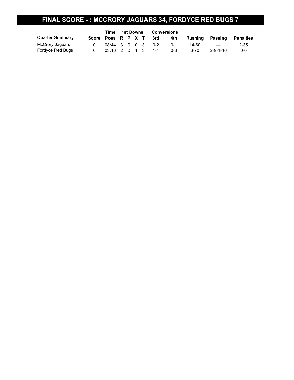### **FINAL SCORE - : MCCRORY JAGUARS 34, FORDYCE RED BUGS 7**

|                        | Time               | 1st Downs       |  |  |  | <b>Conversions</b> |         |         |         |                  |                  |  |
|------------------------|--------------------|-----------------|--|--|--|--------------------|---------|---------|---------|------------------|------------------|--|
| <b>Quarter Summary</b> | Score Poss R P X T |                 |  |  |  |                    | 3rd     | 4th     | Rushina | Passing          | <b>Penalties</b> |  |
| McCrory Jaquars        |                    | 08:44 3 0 0 3   |  |  |  |                    | $0 - 2$ | $0 - 1$ | 14-60   | $---$            | $2 - 35$         |  |
| Fordyce Red Bugs       |                    | $03:16$ 2 0 1 3 |  |  |  |                    | $1 - 4$ | $0 - 3$ | 6-70    | $2 - 9 - 1 - 16$ | $0 - 0$          |  |